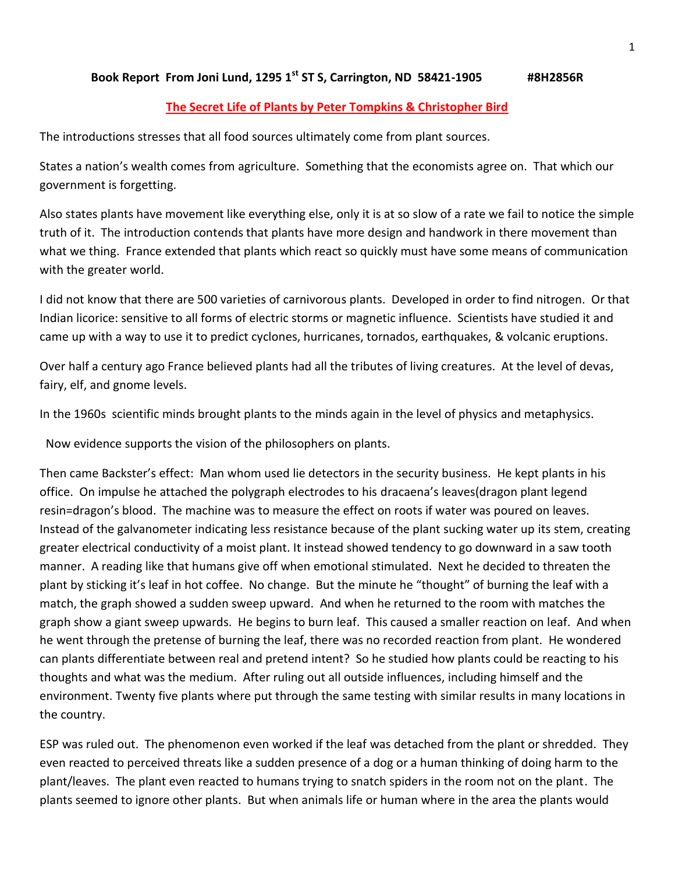### **Book Report From Joni Lund, 1295 1st ST S, Carrington, ND 58421-1905 #8H2856R**

## **The Secret Life of Plants by Peter Tompkins & Christopher Bird**

The introductions stresses that all food sources ultimately come from plant sources.

States a nation's wealth comes from agriculture. Something that the economists agree on. That which our government is forgetting.

Also states plants have movement like everything else, only it is at so slow of a rate we fail to notice the simple truth of it. The introduction contends that plants have more design and handwork in there movement than what we thing. France extended that plants which react so quickly must have some means of communication with the greater world.

I did not know that there are 500 varieties of carnivorous plants. Developed in order to find nitrogen. Or that Indian licorice: sensitive to all forms of electric storms or magnetic influence. Scientists have studied it and came up with a way to use it to predict cyclones, hurricanes, tornados, earthquakes, & volcanic eruptions.

Over half a century ago France believed plants had all the tributes of living creatures. At the level of devas, fairy, elf, and gnome levels.

In the 1960s scientific minds brought plants to the minds again in the level of physics and metaphysics.

Now evidence supports the vision of the philosophers on plants.

Then came Backster's effect: Man whom used lie detectors in the security business. He kept plants in his office. On impulse he attached the polygraph electrodes to his dracaena's leaves(dragon plant legend resin=dragon's blood. The machine was to measure the effect on roots if water was poured on leaves. Instead of the galvanometer indicating less resistance because of the plant sucking water up its stem, creating greater electrical conductivity of a moist plant. It instead showed tendency to go downward in a saw tooth manner. A reading like that humans give off when emotional stimulated. Next he decided to threaten the plant by sticking it's leaf in hot coffee. No change. But the minute he "thought" of burning the leaf with a match, the graph showed a sudden sweep upward. And when he returned to the room with matches the graph show a giant sweep upwards. He begins to burn leaf. This caused a smaller reaction on leaf. And when he went through the pretense of burning the leaf, there was no recorded reaction from plant. He wondered can plants differentiate between real and pretend intent? So he studied how plants could be reacting to his thoughts and what was the medium. After ruling out all outside influences, including himself and the environment. Twenty five plants where put through the same testing with similar results in many locations in the country.

ESP was ruled out. The phenomenon even worked if the leaf was detached from the plant or shredded. They even reacted to perceived threats like a sudden presence of a dog or a human thinking of doing harm to the plant/leaves. The plant even reacted to humans trying to snatch spiders in the room not on the plant. The plants seemed to ignore other plants. But when animals life or human where in the area the plants would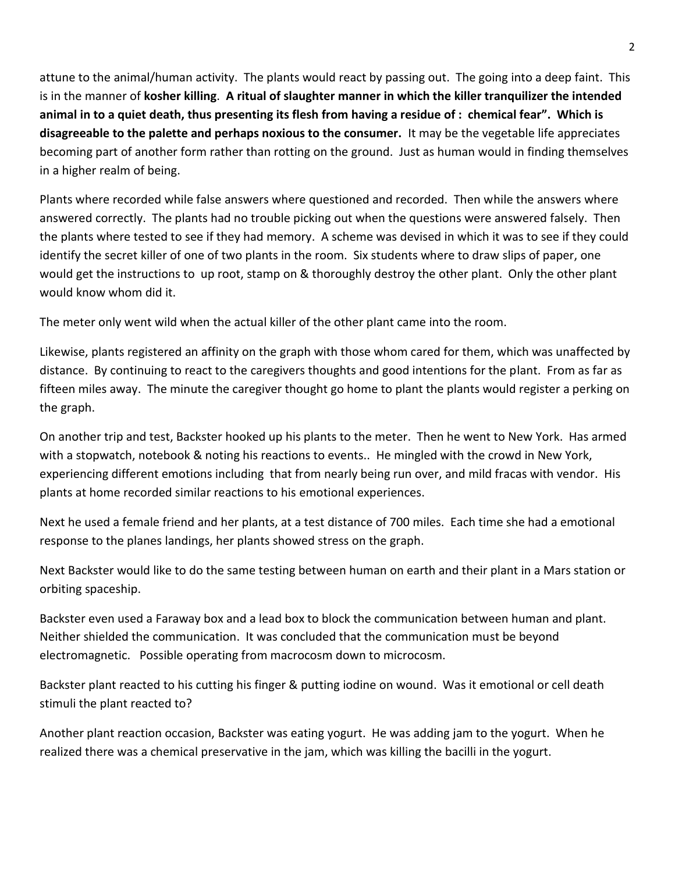attune to the animal/human activity. The plants would react by passing out. The going into a deep faint. This is in the manner of **kosher killing**. **A ritual of slaughter manner in which the killer tranquilizer the intended animal in to a quiet death, thus presenting its flesh from having a residue of : chemical fear". Which is disagreeable to the palette and perhaps noxious to the consumer.** It may be the vegetable life appreciates becoming part of another form rather than rotting on the ground. Just as human would in finding themselves in a higher realm of being.

Plants where recorded while false answers where questioned and recorded. Then while the answers where answered correctly. The plants had no trouble picking out when the questions were answered falsely. Then the plants where tested to see if they had memory. A scheme was devised in which it was to see if they could identify the secret killer of one of two plants in the room. Six students where to draw slips of paper, one would get the instructions to up root, stamp on & thoroughly destroy the other plant. Only the other plant would know whom did it.

The meter only went wild when the actual killer of the other plant came into the room.

Likewise, plants registered an affinity on the graph with those whom cared for them, which was unaffected by distance. By continuing to react to the caregivers thoughts and good intentions for the plant. From as far as fifteen miles away. The minute the caregiver thought go home to plant the plants would register a perking on the graph.

On another trip and test, Backster hooked up his plants to the meter. Then he went to New York. Has armed with a stopwatch, notebook & noting his reactions to events.. He mingled with the crowd in New York, experiencing different emotions including that from nearly being run over, and mild fracas with vendor. His plants at home recorded similar reactions to his emotional experiences.

Next he used a female friend and her plants, at a test distance of 700 miles. Each time she had a emotional response to the planes landings, her plants showed stress on the graph.

Next Backster would like to do the same testing between human on earth and their plant in a Mars station or orbiting spaceship.

Backster even used a Faraway box and a lead box to block the communication between human and plant. Neither shielded the communication. It was concluded that the communication must be beyond electromagnetic. Possible operating from macrocosm down to microcosm.

Backster plant reacted to his cutting his finger & putting iodine on wound. Was it emotional or cell death stimuli the plant reacted to?

Another plant reaction occasion, Backster was eating yogurt. He was adding jam to the yogurt. When he realized there was a chemical preservative in the jam, which was killing the bacilli in the yogurt.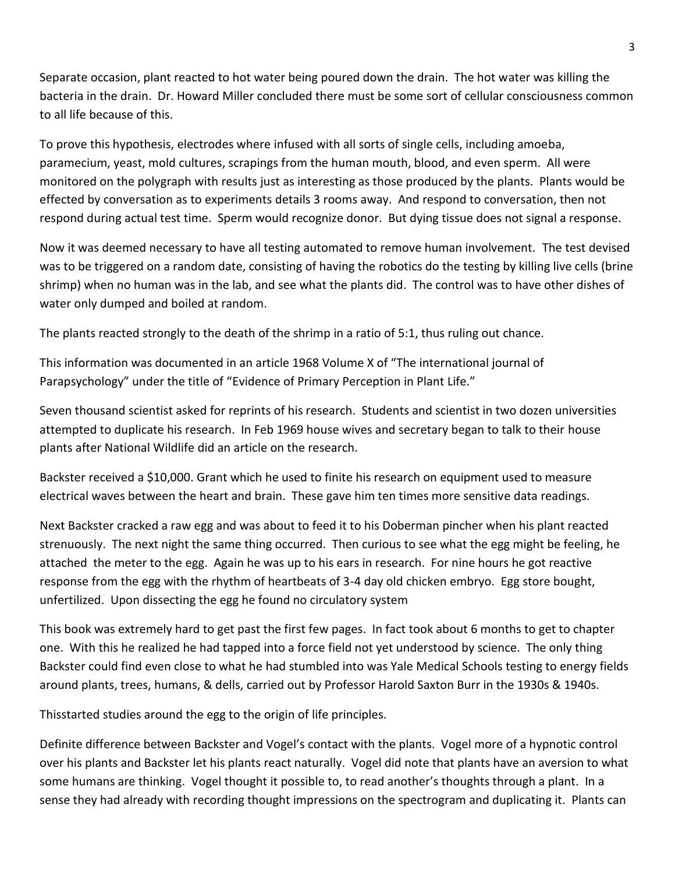Separate occasion, plant reacted to hot water being poured down the drain. The hot water was killing the bacteria in the drain. Dr. Howard Miller concluded there must be some sort of cellular consciousness common to all life because of this.

To prove this hypothesis, electrodes where infused with all sorts of single cells, including amoeba, paramecium, yeast, mold cultures, scrapings from the human mouth, blood, and even sperm. All were monitored on the polygraph with results just as interesting as those produced by the plants. Plants would be effected by conversation as to experiments details 3 rooms away. And respond to conversation, then not respond during actual test time. Sperm would recognize donor. But dying tissue does not signal a response.

Now it was deemed necessary to have all testing automated to remove human involvement. The test devised was to be triggered on a random date, consisting of having the robotics do the testing by killing live cells (brine shrimp) when no human was in the lab, and see what the plants did. The control was to have other dishes of water only dumped and boiled at random.

The plants reacted strongly to the death of the shrimp in a ratio of 5:1, thus ruling out chance.

This information was documented in an article 1968 Volume X of "The international journal of Parapsychology" under the title of "Evidence of Primary Perception in Plant Life."

Seven thousand scientist asked for reprints of his research. Students and scientist in two dozen universities attempted to duplicate his research. In Feb 1969 house wives and secretary began to talk to their house plants after National Wildlife did an article on the research.

Backster received a \$10,000. Grant which he used to finite his research on equipment used to measure electrical waves between the heart and brain. These gave him ten times more sensitive data readings.

Next Backster cracked a raw egg and was about to feed it to his Doberman pincher when his plant reacted strenuously. The next night the same thing occurred. Then curious to see what the egg might be feeling, he attached the meter to the egg. Again he was up to his ears in research. For nine hours he got reactive response from the egg with the rhythm of heartbeats of 3-4 day old chicken embryo. Egg store bought, unfertilized. Upon dissecting the egg he found no circulatory system

This book was extremely hard to get past the first few pages. In fact took about 6 months to get to chapter one. With this he realized he had tapped into a force field not yet understood by science. The only thing Backster could find even close to what he had stumbled into was Yale Medical Schools testing to energy fields around plants, trees, humans, & dells, carried out by Professor Harold Saxton Burr in the 1930s & 1940s.

Thisstarted studies around the egg to the origin of life principles.

Definite difference between Backster and Vogel's contact with the plants. Vogel more of a hypnotic control over his plants and Backster let his plants react naturally. Vogel did note that plants have an aversion to what some humans are thinking. Vogel thought it possible to, to read another's thoughts through a plant. In a sense they had already with recording thought impressions on the spectrogram and duplicating it. Plants can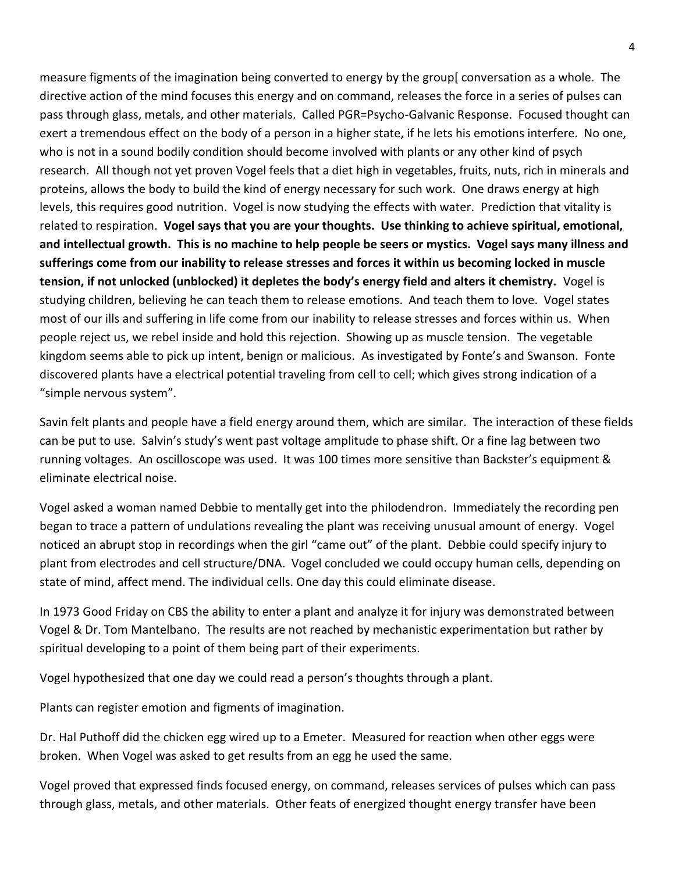measure figments of the imagination being converted to energy by the group[ conversation as a whole. The directive action of the mind focuses this energy and on command, releases the force in a series of pulses can pass through glass, metals, and other materials. Called PGR=Psycho-Galvanic Response. Focused thought can exert a tremendous effect on the body of a person in a higher state, if he lets his emotions interfere. No one, who is not in a sound bodily condition should become involved with plants or any other kind of psych research. All though not yet proven Vogel feels that a diet high in vegetables, fruits, nuts, rich in minerals and proteins, allows the body to build the kind of energy necessary for such work. One draws energy at high levels, this requires good nutrition. Vogel is now studying the effects with water. Prediction that vitality is related to respiration. **Vogel says that you are your thoughts. Use thinking to achieve spiritual, emotional, and intellectual growth. This is no machine to help people be seers or mystics. Vogel says many illness and sufferings come from our inability to release stresses and forces it within us becoming locked in muscle tension, if not unlocked (unblocked) it depletes the body's energy field and alters it chemistry.** Vogel is studying children, believing he can teach them to release emotions. And teach them to love. Vogel states most of our ills and suffering in life come from our inability to release stresses and forces within us. When people reject us, we rebel inside and hold this rejection. Showing up as muscle tension. The vegetable kingdom seems able to pick up intent, benign or malicious. As investigated by Fonte's and Swanson. Fonte discovered plants have a electrical potential traveling from cell to cell; which gives strong indication of a "simple nervous system".

Savin felt plants and people have a field energy around them, which are similar. The interaction of these fields can be put to use. Salvin's study's went past voltage amplitude to phase shift. Or a fine lag between two running voltages. An oscilloscope was used. It was 100 times more sensitive than Backster's equipment & eliminate electrical noise.

Vogel asked a woman named Debbie to mentally get into the philodendron. Immediately the recording pen began to trace a pattern of undulations revealing the plant was receiving unusual amount of energy. Vogel noticed an abrupt stop in recordings when the girl "came out" of the plant. Debbie could specify injury to plant from electrodes and cell structure/DNA. Vogel concluded we could occupy human cells, depending on state of mind, affect mend. The individual cells. One day this could eliminate disease.

In 1973 Good Friday on CBS the ability to enter a plant and analyze it for injury was demonstrated between Vogel & Dr. Tom Mantelbano. The results are not reached by mechanistic experimentation but rather by spiritual developing to a point of them being part of their experiments.

Vogel hypothesized that one day we could read a person's thoughts through a plant.

Plants can register emotion and figments of imagination.

Dr. Hal Puthoff did the chicken egg wired up to a Emeter. Measured for reaction when other eggs were broken. When Vogel was asked to get results from an egg he used the same.

Vogel proved that expressed finds focused energy, on command, releases services of pulses which can pass through glass, metals, and other materials. Other feats of energized thought energy transfer have been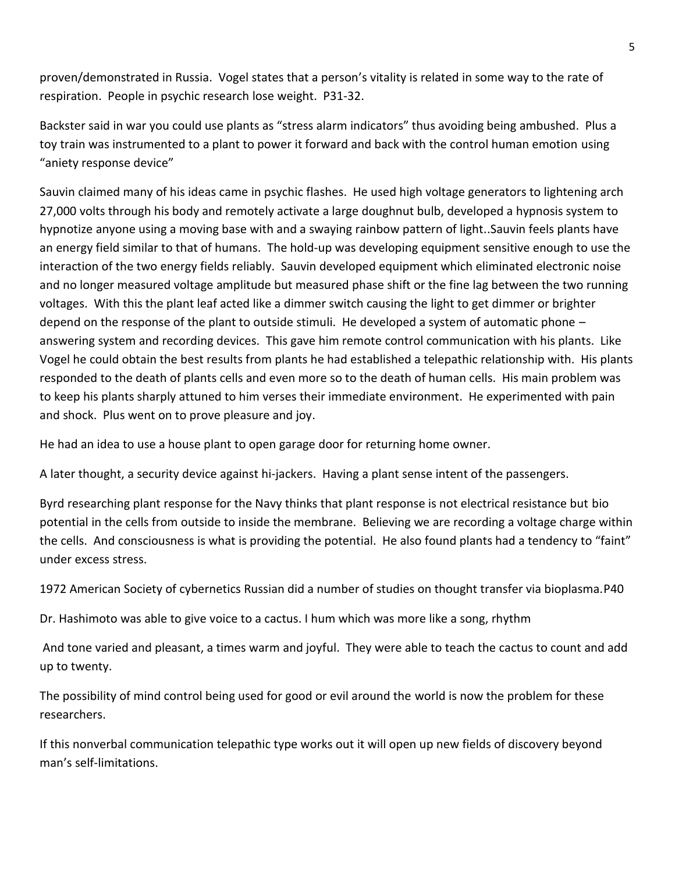proven/demonstrated in Russia. Vogel states that a person's vitality is related in some way to the rate of respiration. People in psychic research lose weight. P31-32.

Backster said in war you could use plants as "stress alarm indicators" thus avoiding being ambushed. Plus a toy train was instrumented to a plant to power it forward and back with the control human emotion using "aniety response device"

Sauvin claimed many of his ideas came in psychic flashes. He used high voltage generators to lightening arch 27,000 volts through his body and remotely activate a large doughnut bulb, developed a hypnosis system to hypnotize anyone using a moving base with and a swaying rainbow pattern of light..Sauvin feels plants have an energy field similar to that of humans. The hold-up was developing equipment sensitive enough to use the interaction of the two energy fields reliably. Sauvin developed equipment which eliminated electronic noise and no longer measured voltage amplitude but measured phase shift or the fine lag between the two running voltages. With this the plant leaf acted like a dimmer switch causing the light to get dimmer or brighter depend on the response of the plant to outside stimuli. He developed a system of automatic phone – answering system and recording devices. This gave him remote control communication with his plants. Like Vogel he could obtain the best results from plants he had established a telepathic relationship with. His plants responded to the death of plants cells and even more so to the death of human cells. His main problem was to keep his plants sharply attuned to him verses their immediate environment. He experimented with pain and shock. Plus went on to prove pleasure and joy.

He had an idea to use a house plant to open garage door for returning home owner.

A later thought, a security device against hi-jackers. Having a plant sense intent of the passengers.

Byrd researching plant response for the Navy thinks that plant response is not electrical resistance but bio potential in the cells from outside to inside the membrane. Believing we are recording a voltage charge within the cells. And consciousness is what is providing the potential. He also found plants had a tendency to "faint" under excess stress.

1972 American Society of cybernetics Russian did a number of studies on thought transfer via bioplasma.P40

Dr. Hashimoto was able to give voice to a cactus. I hum which was more like a song, rhythm

And tone varied and pleasant, a times warm and joyful. They were able to teach the cactus to count and add up to twenty.

The possibility of mind control being used for good or evil around the world is now the problem for these researchers.

If this nonverbal communication telepathic type works out it will open up new fields of discovery beyond man's self-limitations.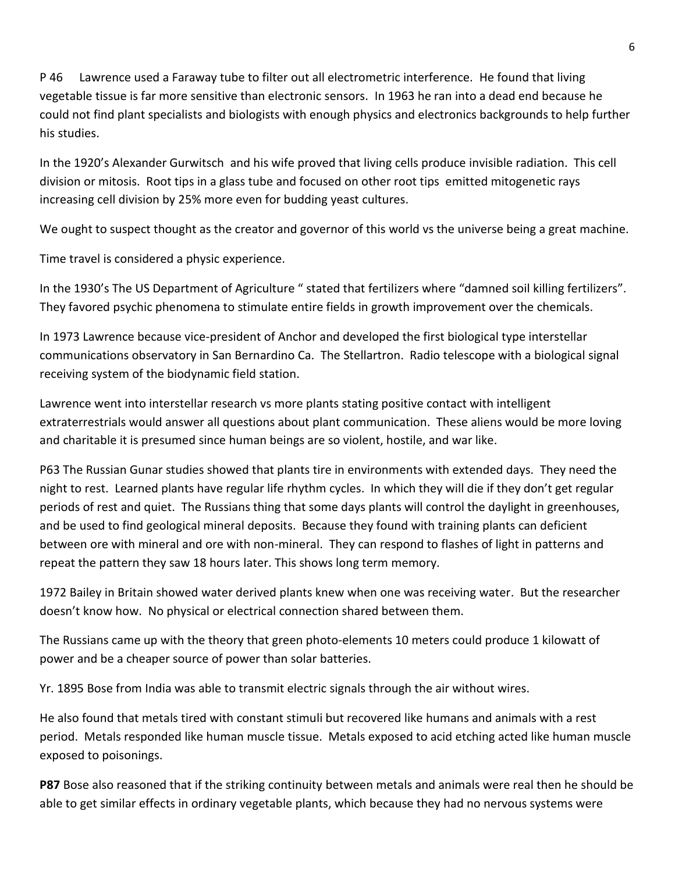P 46 Lawrence used a Faraway tube to filter out all electrometric interference. He found that living vegetable tissue is far more sensitive than electronic sensors. In 1963 he ran into a dead end because he could not find plant specialists and biologists with enough physics and electronics backgrounds to help further his studies.

In the 1920's Alexander Gurwitsch and his wife proved that living cells produce invisible radiation. This cell division or mitosis. Root tips in a glass tube and focused on other root tips emitted mitogenetic rays increasing cell division by 25% more even for budding yeast cultures.

We ought to suspect thought as the creator and governor of this world vs the universe being a great machine.

Time travel is considered a physic experience.

In the 1930's The US Department of Agriculture " stated that fertilizers where "damned soil killing fertilizers". They favored psychic phenomena to stimulate entire fields in growth improvement over the chemicals.

In 1973 Lawrence because vice-president of Anchor and developed the first biological type interstellar communications observatory in San Bernardino Ca. The Stellartron. Radio telescope with a biological signal receiving system of the biodynamic field station.

Lawrence went into interstellar research vs more plants stating positive contact with intelligent extraterrestrials would answer all questions about plant communication. These aliens would be more loving and charitable it is presumed since human beings are so violent, hostile, and war like.

P63 The Russian Gunar studies showed that plants tire in environments with extended days. They need the night to rest. Learned plants have regular life rhythm cycles. In which they will die if they don't get regular periods of rest and quiet. The Russians thing that some days plants will control the daylight in greenhouses, and be used to find geological mineral deposits. Because they found with training plants can deficient between ore with mineral and ore with non-mineral. They can respond to flashes of light in patterns and repeat the pattern they saw 18 hours later. This shows long term memory.

1972 Bailey in Britain showed water derived plants knew when one was receiving water. But the researcher doesn't know how. No physical or electrical connection shared between them.

The Russians came up with the theory that green photo-elements 10 meters could produce 1 kilowatt of power and be a cheaper source of power than solar batteries.

Yr. 1895 Bose from India was able to transmit electric signals through the air without wires.

He also found that metals tired with constant stimuli but recovered like humans and animals with a rest period. Metals responded like human muscle tissue. Metals exposed to acid etching acted like human muscle exposed to poisonings.

**P87** Bose also reasoned that if the striking continuity between metals and animals were real then he should be able to get similar effects in ordinary vegetable plants, which because they had no nervous systems were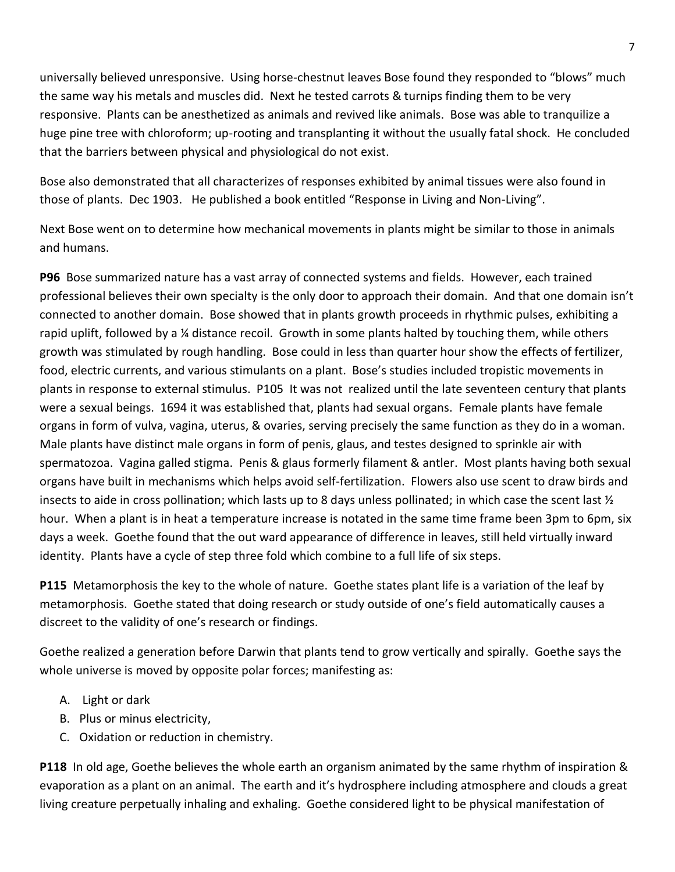universally believed unresponsive. Using horse-chestnut leaves Bose found they responded to "blows" much the same way his metals and muscles did. Next he tested carrots & turnips finding them to be very responsive. Plants can be anesthetized as animals and revived like animals. Bose was able to tranquilize a huge pine tree with chloroform; up-rooting and transplanting it without the usually fatal shock. He concluded that the barriers between physical and physiological do not exist.

Bose also demonstrated that all characterizes of responses exhibited by animal tissues were also found in those of plants. Dec 1903. He published a book entitled "Response in Living and Non-Living".

Next Bose went on to determine how mechanical movements in plants might be similar to those in animals and humans.

**P96** Bose summarized nature has a vast array of connected systems and fields. However, each trained professional believes their own specialty is the only door to approach their domain. And that one domain isn't connected to another domain. Bose showed that in plants growth proceeds in rhythmic pulses, exhibiting a rapid uplift, followed by a ¼ distance recoil. Growth in some plants halted by touching them, while others growth was stimulated by rough handling. Bose could in less than quarter hour show the effects of fertilizer, food, electric currents, and various stimulants on a plant. Bose's studies included tropistic movements in plants in response to external stimulus. P105 It was not realized until the late seventeen century that plants were a sexual beings. 1694 it was established that, plants had sexual organs. Female plants have female organs in form of vulva, vagina, uterus, & ovaries, serving precisely the same function as they do in a woman. Male plants have distinct male organs in form of penis, glaus, and testes designed to sprinkle air with spermatozoa. Vagina galled stigma. Penis & glaus formerly filament & antler. Most plants having both sexual organs have built in mechanisms which helps avoid self-fertilization. Flowers also use scent to draw birds and insects to aide in cross pollination; which lasts up to 8 days unless pollinated; in which case the scent last  $\frac{1}{2}$ hour. When a plant is in heat a temperature increase is notated in the same time frame been 3pm to 6pm, six days a week. Goethe found that the out ward appearance of difference in leaves, still held virtually inward identity. Plants have a cycle of step three fold which combine to a full life of six steps.

**P115** Metamorphosis the key to the whole of nature. Goethe states plant life is a variation of the leaf by metamorphosis. Goethe stated that doing research or study outside of one's field automatically causes a discreet to the validity of one's research or findings.

Goethe realized a generation before Darwin that plants tend to grow vertically and spirally. Goethe says the whole universe is moved by opposite polar forces; manifesting as:

- A. Light or dark
- B. Plus or minus electricity,
- C. Oxidation or reduction in chemistry.

**P118** In old age, Goethe believes the whole earth an organism animated by the same rhythm of inspiration & evaporation as a plant on an animal. The earth and it's hydrosphere including atmosphere and clouds a great living creature perpetually inhaling and exhaling. Goethe considered light to be physical manifestation of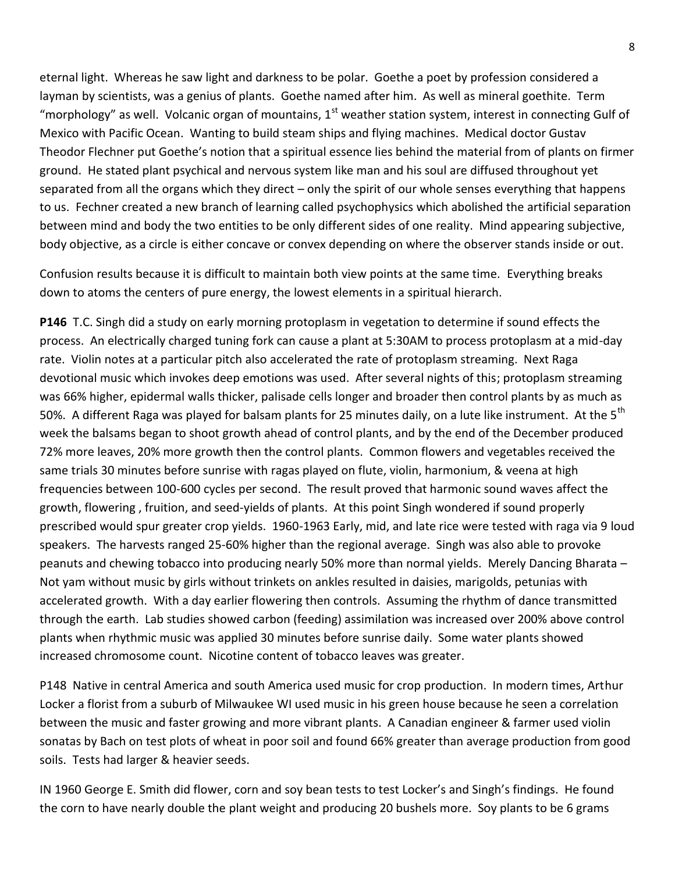eternal light. Whereas he saw light and darkness to be polar. Goethe a poet by profession considered a layman by scientists, was a genius of plants. Goethe named after him. As well as mineral goethite. Term "morphology" as well. Volcanic organ of mountains, 1<sup>st</sup> weather station system, interest in connecting Gulf of Mexico with Pacific Ocean. Wanting to build steam ships and flying machines. Medical doctor Gustav Theodor Flechner put Goethe's notion that a spiritual essence lies behind the material from of plants on firmer ground. He stated plant psychical and nervous system like man and his soul are diffused throughout yet separated from all the organs which they direct – only the spirit of our whole senses everything that happens to us. Fechner created a new branch of learning called psychophysics which abolished the artificial separation between mind and body the two entities to be only different sides of one reality. Mind appearing subjective, body objective, as a circle is either concave or convex depending on where the observer stands inside or out.

Confusion results because it is difficult to maintain both view points at the same time. Everything breaks down to atoms the centers of pure energy, the lowest elements in a spiritual hierarch.

**P146** T.C. Singh did a study on early morning protoplasm in vegetation to determine if sound effects the process. An electrically charged tuning fork can cause a plant at 5:30AM to process protoplasm at a mid-day rate. Violin notes at a particular pitch also accelerated the rate of protoplasm streaming. Next Raga devotional music which invokes deep emotions was used. After several nights of this; protoplasm streaming was 66% higher, epidermal walls thicker, palisade cells longer and broader then control plants by as much as 50%. A different Raga was played for balsam plants for 25 minutes daily, on a lute like instrument. At the  $5<sup>tn</sup>$ week the balsams began to shoot growth ahead of control plants, and by the end of the December produced 72% more leaves, 20% more growth then the control plants. Common flowers and vegetables received the same trials 30 minutes before sunrise with ragas played on flute, violin, harmonium, & veena at high frequencies between 100-600 cycles per second. The result proved that harmonic sound waves affect the growth, flowering , fruition, and seed-yields of plants. At this point Singh wondered if sound properly prescribed would spur greater crop yields. 1960-1963 Early, mid, and late rice were tested with raga via 9 loud speakers. The harvests ranged 25-60% higher than the regional average. Singh was also able to provoke peanuts and chewing tobacco into producing nearly 50% more than normal yields. Merely Dancing Bharata – Not yam without music by girls without trinkets on ankles resulted in daisies, marigolds, petunias with accelerated growth. With a day earlier flowering then controls. Assuming the rhythm of dance transmitted through the earth. Lab studies showed carbon (feeding) assimilation was increased over 200% above control plants when rhythmic music was applied 30 minutes before sunrise daily. Some water plants showed increased chromosome count. Nicotine content of tobacco leaves was greater.

P148 Native in central America and south America used music for crop production. In modern times, Arthur Locker a florist from a suburb of Milwaukee WI used music in his green house because he seen a correlation between the music and faster growing and more vibrant plants. A Canadian engineer & farmer used violin sonatas by Bach on test plots of wheat in poor soil and found 66% greater than average production from good soils. Tests had larger & heavier seeds.

IN 1960 George E. Smith did flower, corn and soy bean tests to test Locker's and Singh's findings. He found the corn to have nearly double the plant weight and producing 20 bushels more. Soy plants to be 6 grams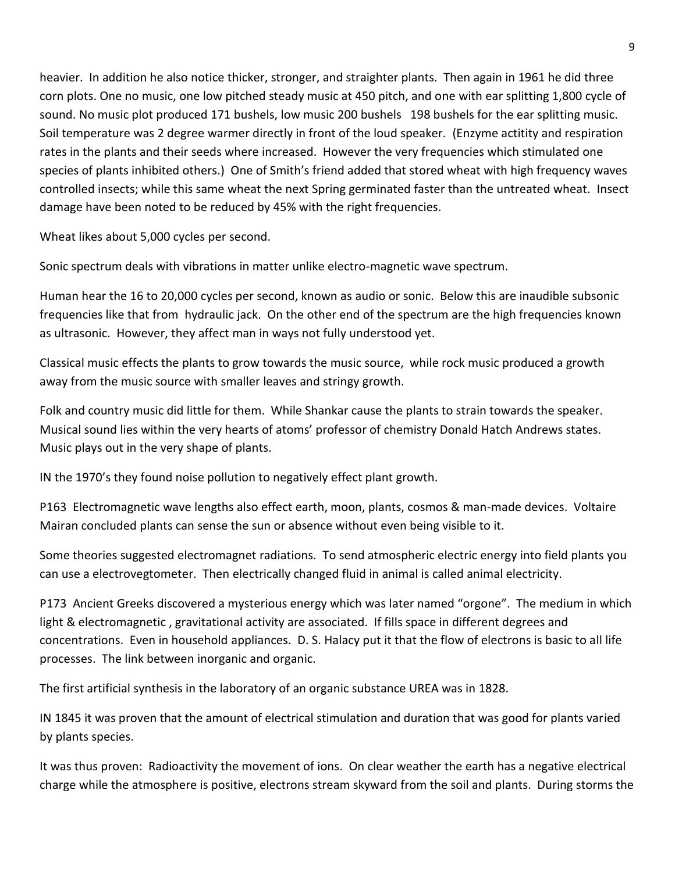heavier. In addition he also notice thicker, stronger, and straighter plants. Then again in 1961 he did three corn plots. One no music, one low pitched steady music at 450 pitch, and one with ear splitting 1,800 cycle of sound. No music plot produced 171 bushels, low music 200 bushels 198 bushels for the ear splitting music. Soil temperature was 2 degree warmer directly in front of the loud speaker. (Enzyme actitity and respiration rates in the plants and their seeds where increased. However the very frequencies which stimulated one species of plants inhibited others.) One of Smith's friend added that stored wheat with high frequency waves controlled insects; while this same wheat the next Spring germinated faster than the untreated wheat. Insect damage have been noted to be reduced by 45% with the right frequencies.

Wheat likes about 5,000 cycles per second.

Sonic spectrum deals with vibrations in matter unlike electro-magnetic wave spectrum.

Human hear the 16 to 20,000 cycles per second, known as audio or sonic. Below this are inaudible subsonic frequencies like that from hydraulic jack. On the other end of the spectrum are the high frequencies known as ultrasonic. However, they affect man in ways not fully understood yet.

Classical music effects the plants to grow towards the music source, while rock music produced a growth away from the music source with smaller leaves and stringy growth.

Folk and country music did little for them. While Shankar cause the plants to strain towards the speaker. Musical sound lies within the very hearts of atoms' professor of chemistry Donald Hatch Andrews states. Music plays out in the very shape of plants.

IN the 1970's they found noise pollution to negatively effect plant growth.

P163 Electromagnetic wave lengths also effect earth, moon, plants, cosmos & man-made devices. Voltaire Mairan concluded plants can sense the sun or absence without even being visible to it.

Some theories suggested electromagnet radiations. To send atmospheric electric energy into field plants you can use a electrovegtometer. Then electrically changed fluid in animal is called animal electricity.

P173 Ancient Greeks discovered a mysterious energy which was later named "orgone". The medium in which light & electromagnetic , gravitational activity are associated. If fills space in different degrees and concentrations. Even in household appliances. D. S. Halacy put it that the flow of electrons is basic to all life processes. The link between inorganic and organic.

The first artificial synthesis in the laboratory of an organic substance UREA was in 1828.

IN 1845 it was proven that the amount of electrical stimulation and duration that was good for plants varied by plants species.

It was thus proven: Radioactivity the movement of ions. On clear weather the earth has a negative electrical charge while the atmosphere is positive, electrons stream skyward from the soil and plants. During storms the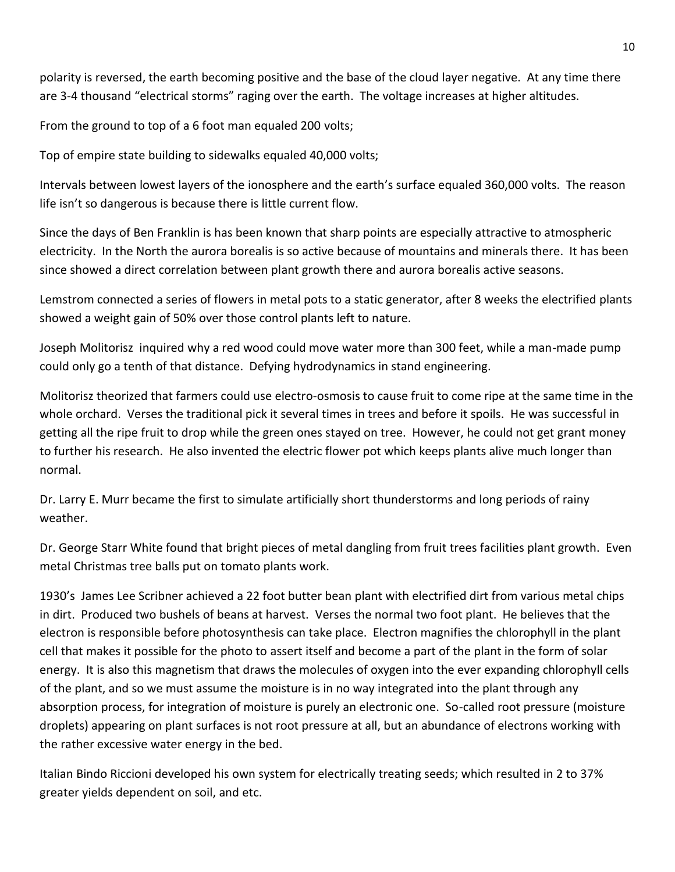polarity is reversed, the earth becoming positive and the base of the cloud layer negative. At any time there are 3-4 thousand "electrical storms" raging over the earth. The voltage increases at higher altitudes.

From the ground to top of a 6 foot man equaled 200 volts;

Top of empire state building to sidewalks equaled 40,000 volts;

Intervals between lowest layers of the ionosphere and the earth's surface equaled 360,000 volts. The reason life isn't so dangerous is because there is little current flow.

Since the days of Ben Franklin is has been known that sharp points are especially attractive to atmospheric electricity. In the North the aurora borealis is so active because of mountains and minerals there. It has been since showed a direct correlation between plant growth there and aurora borealis active seasons.

Lemstrom connected a series of flowers in metal pots to a static generator, after 8 weeks the electrified plants showed a weight gain of 50% over those control plants left to nature.

Joseph Molitorisz inquired why a red wood could move water more than 300 feet, while a man-made pump could only go a tenth of that distance. Defying hydrodynamics in stand engineering.

Molitorisz theorized that farmers could use electro-osmosis to cause fruit to come ripe at the same time in the whole orchard. Verses the traditional pick it several times in trees and before it spoils. He was successful in getting all the ripe fruit to drop while the green ones stayed on tree. However, he could not get grant money to further his research. He also invented the electric flower pot which keeps plants alive much longer than normal.

Dr. Larry E. Murr became the first to simulate artificially short thunderstorms and long periods of rainy weather.

Dr. George Starr White found that bright pieces of metal dangling from fruit trees facilities plant growth. Even metal Christmas tree balls put on tomato plants work.

1930's James Lee Scribner achieved a 22 foot butter bean plant with electrified dirt from various metal chips in dirt. Produced two bushels of beans at harvest. Verses the normal two foot plant. He believes that the electron is responsible before photosynthesis can take place. Electron magnifies the chlorophyll in the plant cell that makes it possible for the photo to assert itself and become a part of the plant in the form of solar energy. It is also this magnetism that draws the molecules of oxygen into the ever expanding chlorophyll cells of the plant, and so we must assume the moisture is in no way integrated into the plant through any absorption process, for integration of moisture is purely an electronic one. So-called root pressure (moisture droplets) appearing on plant surfaces is not root pressure at all, but an abundance of electrons working with the rather excessive water energy in the bed.

Italian Bindo Riccioni developed his own system for electrically treating seeds; which resulted in 2 to 37% greater yields dependent on soil, and etc.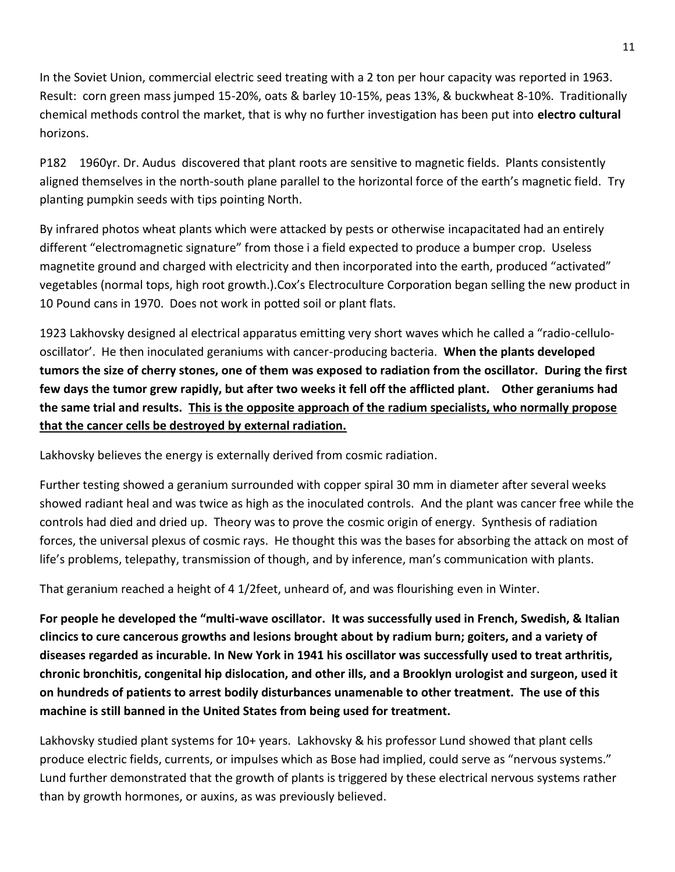In the Soviet Union, commercial electric seed treating with a 2 ton per hour capacity was reported in 1963. Result: corn green mass jumped 15-20%, oats & barley 10-15%, peas 13%, & buckwheat 8-10%. Traditionally chemical methods control the market, that is why no further investigation has been put into **electro cultural** horizons.

P182 1960yr. Dr. Audus discovered that plant roots are sensitive to magnetic fields. Plants consistently aligned themselves in the north-south plane parallel to the horizontal force of the earth's magnetic field. Try planting pumpkin seeds with tips pointing North.

By infrared photos wheat plants which were attacked by pests or otherwise incapacitated had an entirely different "electromagnetic signature" from those i a field expected to produce a bumper crop. Useless magnetite ground and charged with electricity and then incorporated into the earth, produced "activated" vegetables (normal tops, high root growth.).Cox's Electroculture Corporation began selling the new product in 10 Pound cans in 1970. Does not work in potted soil or plant flats.

1923 Lakhovsky designed al electrical apparatus emitting very short waves which he called a "radio-cellulooscillator'. He then inoculated geraniums with cancer-producing bacteria. **When the plants developed tumors the size of cherry stones, one of them was exposed to radiation from the oscillator. During the first few days the tumor grew rapidly, but after two weeks it fell off the afflicted plant. Other geraniums had the same trial and results. This is the opposite approach of the radium specialists, who normally propose that the cancer cells be destroyed by external radiation.**

Lakhovsky believes the energy is externally derived from cosmic radiation.

Further testing showed a geranium surrounded with copper spiral 30 mm in diameter after several weeks showed radiant heal and was twice as high as the inoculated controls. And the plant was cancer free while the controls had died and dried up. Theory was to prove the cosmic origin of energy. Synthesis of radiation forces, the universal plexus of cosmic rays. He thought this was the bases for absorbing the attack on most of life's problems, telepathy, transmission of though, and by inference, man's communication with plants.

That geranium reached a height of 4 1/2feet, unheard of, and was flourishing even in Winter.

**For people he developed the "multi-wave oscillator. It was successfully used in French, Swedish, & Italian clincics to cure cancerous growths and lesions brought about by radium burn; goiters, and a variety of diseases regarded as incurable. In New York in 1941 his oscillator was successfully used to treat arthritis, chronic bronchitis, congenital hip dislocation, and other ills, and a Brooklyn urologist and surgeon, used it on hundreds of patients to arrest bodily disturbances unamenable to other treatment. The use of this machine is still banned in the United States from being used for treatment.**

Lakhovsky studied plant systems for 10+ years. Lakhovsky & his professor Lund showed that plant cells produce electric fields, currents, or impulses which as Bose had implied, could serve as "nervous systems." Lund further demonstrated that the growth of plants is triggered by these electrical nervous systems rather than by growth hormones, or auxins, as was previously believed.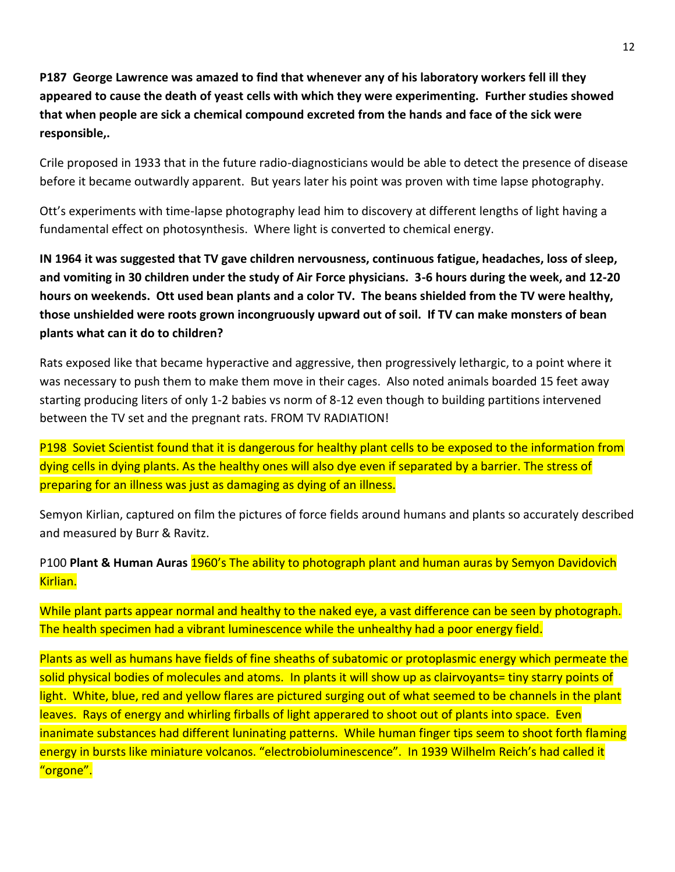**P187 George Lawrence was amazed to find that whenever any of his laboratory workers fell ill they appeared to cause the death of yeast cells with which they were experimenting. Further studies showed that when people are sick a chemical compound excreted from the hands and face of the sick were responsible,.**

Crile proposed in 1933 that in the future radio-diagnosticians would be able to detect the presence of disease before it became outwardly apparent. But years later his point was proven with time lapse photography.

Ott's experiments with time-lapse photography lead him to discovery at different lengths of light having a fundamental effect on photosynthesis. Where light is converted to chemical energy.

**IN 1964 it was suggested that TV gave children nervousness, continuous fatigue, headaches, loss of sleep, and vomiting in 30 children under the study of Air Force physicians. 3-6 hours during the week, and 12-20 hours on weekends. Ott used bean plants and a color TV. The beans shielded from the TV were healthy, those unshielded were roots grown incongruously upward out of soil. If TV can make monsters of bean plants what can it do to children?**

Rats exposed like that became hyperactive and aggressive, then progressively lethargic, to a point where it was necessary to push them to make them move in their cages. Also noted animals boarded 15 feet away starting producing liters of only 1-2 babies vs norm of 8-12 even though to building partitions intervened between the TV set and the pregnant rats. FROM TV RADIATION!

P198 Soviet Scientist found that it is dangerous for healthy plant cells to be exposed to the information from dying cells in dying plants. As the healthy ones will also dye even if separated by a barrier. The stress of preparing for an illness was just as damaging as dying of an illness.

Semyon Kirlian, captured on film the pictures of force fields around humans and plants so accurately described and measured by Burr & Ravitz.

P100 **Plant & Human Auras** 1960's The ability to photograph plant and human auras by Semyon Davidovich Kirlian.

While plant parts appear normal and healthy to the naked eye, a vast difference can be seen by photograph. The health specimen had a vibrant luminescence while the unhealthy had a poor energy field.

Plants as well as humans have fields of fine sheaths of subatomic or protoplasmic energy which permeate the solid physical bodies of molecules and atoms. In plants it will show up as clairvoyants= tiny starry points of light. White, blue, red and yellow flares are pictured surging out of what seemed to be channels in the plant leaves. Rays of energy and whirling firballs of light apperared to shoot out of plants into space. Even inanimate substances had different luninating patterns. While human finger tips seem to shoot forth flaming energy in bursts like miniature volcanos. "electrobioluminescence". In 1939 Wilhelm Reich's had called it "orgone".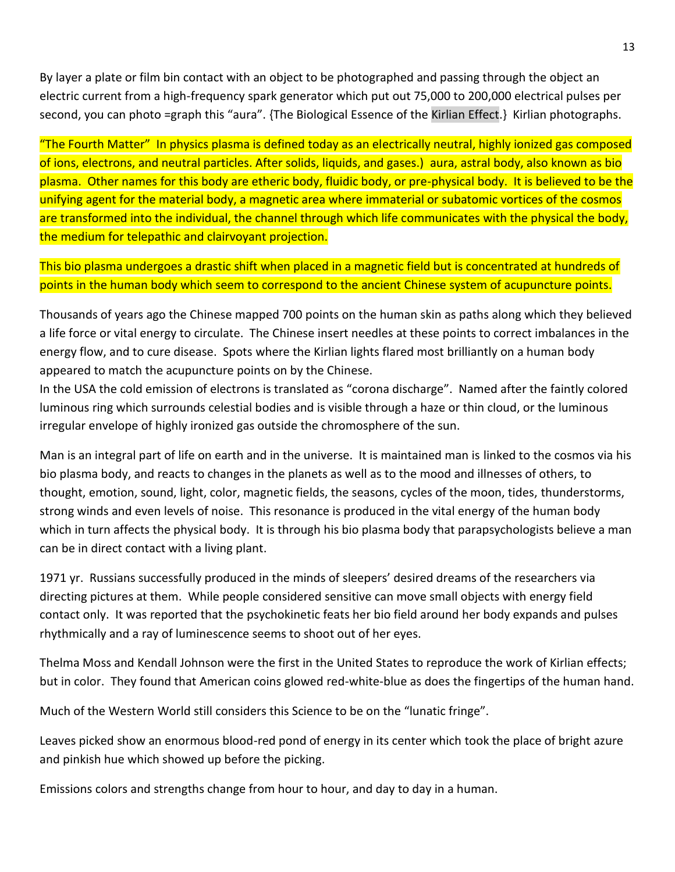By layer a plate or film bin contact with an object to be photographed and passing through the object an electric current from a high-frequency spark generator which put out 75,000 to 200,000 electrical pulses per second, you can photo =graph this "aura". {The Biological Essence of the Kirlian Effect.} Kirlian photographs.

"The Fourth Matter" In physics plasma is defined today as an electrically neutral, highly ionized gas composed of ions, electrons, and neutral particles. After solids, liquids, and gases.) aura, astral body, also known as bio plasma. Other names for this body are etheric body, fluidic body, or pre-physical body. It is believed to be the unifying agent for the material body, a magnetic area where immaterial or subatomic vortices of the cosmos are transformed into the individual, the channel through which life communicates with the physical the body, the medium for telepathic and clairvoyant projection.

This bio plasma undergoes a drastic shift when placed in a magnetic field but is concentrated at hundreds of points in the human body which seem to correspond to the ancient Chinese system of acupuncture points.

Thousands of years ago the Chinese mapped 700 points on the human skin as paths along which they believed a life force or vital energy to circulate. The Chinese insert needles at these points to correct imbalances in the energy flow, and to cure disease. Spots where the Kirlian lights flared most brilliantly on a human body appeared to match the acupuncture points on by the Chinese.

In the USA the cold emission of electrons is translated as "corona discharge". Named after the faintly colored luminous ring which surrounds celestial bodies and is visible through a haze or thin cloud, or the luminous irregular envelope of highly ironized gas outside the chromosphere of the sun.

Man is an integral part of life on earth and in the universe. It is maintained man is linked to the cosmos via his bio plasma body, and reacts to changes in the planets as well as to the mood and illnesses of others, to thought, emotion, sound, light, color, magnetic fields, the seasons, cycles of the moon, tides, thunderstorms, strong winds and even levels of noise. This resonance is produced in the vital energy of the human body which in turn affects the physical body. It is through his bio plasma body that parapsychologists believe a man can be in direct contact with a living plant.

1971 yr. Russians successfully produced in the minds of sleepers' desired dreams of the researchers via directing pictures at them. While people considered sensitive can move small objects with energy field contact only. It was reported that the psychokinetic feats her bio field around her body expands and pulses rhythmically and a ray of luminescence seems to shoot out of her eyes.

Thelma Moss and Kendall Johnson were the first in the United States to reproduce the work of Kirlian effects; but in color. They found that American coins glowed red-white-blue as does the fingertips of the human hand.

Much of the Western World still considers this Science to be on the "lunatic fringe".

Leaves picked show an enormous blood-red pond of energy in its center which took the place of bright azure and pinkish hue which showed up before the picking.

Emissions colors and strengths change from hour to hour, and day to day in a human.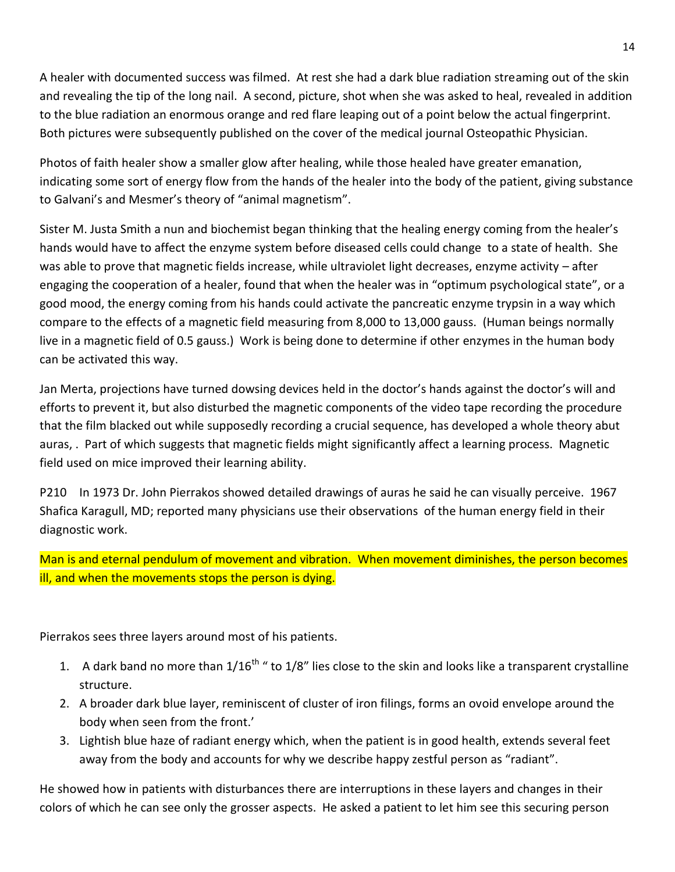A healer with documented success was filmed. At rest she had a dark blue radiation streaming out of the skin and revealing the tip of the long nail. A second, picture, shot when she was asked to heal, revealed in addition to the blue radiation an enormous orange and red flare leaping out of a point below the actual fingerprint. Both pictures were subsequently published on the cover of the medical journal Osteopathic Physician.

Photos of faith healer show a smaller glow after healing, while those healed have greater emanation, indicating some sort of energy flow from the hands of the healer into the body of the patient, giving substance to Galvani's and Mesmer's theory of "animal magnetism".

Sister M. Justa Smith a nun and biochemist began thinking that the healing energy coming from the healer's hands would have to affect the enzyme system before diseased cells could change to a state of health. She was able to prove that magnetic fields increase, while ultraviolet light decreases, enzyme activity – after engaging the cooperation of a healer, found that when the healer was in "optimum psychological state", or a good mood, the energy coming from his hands could activate the pancreatic enzyme trypsin in a way which compare to the effects of a magnetic field measuring from 8,000 to 13,000 gauss. (Human beings normally live in a magnetic field of 0.5 gauss.) Work is being done to determine if other enzymes in the human body can be activated this way.

Jan Merta, projections have turned dowsing devices held in the doctor's hands against the doctor's will and efforts to prevent it, but also disturbed the magnetic components of the video tape recording the procedure that the film blacked out while supposedly recording a crucial sequence, has developed a whole theory abut auras, . Part of which suggests that magnetic fields might significantly affect a learning process. Magnetic field used on mice improved their learning ability.

P210 In 1973 Dr. John Pierrakos showed detailed drawings of auras he said he can visually perceive. 1967 Shafica Karagull, MD; reported many physicians use their observations of the human energy field in their diagnostic work.

Man is and eternal pendulum of movement and vibration. When movement diminishes, the person becomes ill, and when the movements stops the person is dying.

Pierrakos sees three layers around most of his patients.

- 1. A dark band no more than  $1/16^{th}$  " to  $1/8$ " lies close to the skin and looks like a transparent crystalline structure.
- 2. A broader dark blue layer, reminiscent of cluster of iron filings, forms an ovoid envelope around the body when seen from the front.'
- 3. Lightish blue haze of radiant energy which, when the patient is in good health, extends several feet away from the body and accounts for why we describe happy zestful person as "radiant".

He showed how in patients with disturbances there are interruptions in these layers and changes in their colors of which he can see only the grosser aspects. He asked a patient to let him see this securing person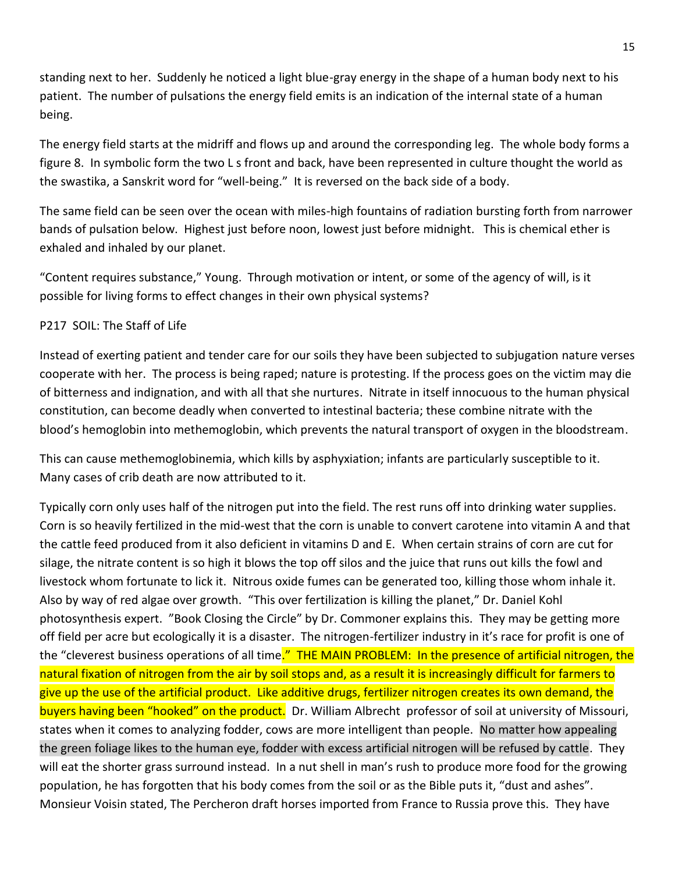standing next to her. Suddenly he noticed a light blue-gray energy in the shape of a human body next to his patient. The number of pulsations the energy field emits is an indication of the internal state of a human being.

The energy field starts at the midriff and flows up and around the corresponding leg. The whole body forms a figure 8. In symbolic form the two L s front and back, have been represented in culture thought the world as the swastika, a Sanskrit word for "well-being." It is reversed on the back side of a body.

The same field can be seen over the ocean with miles-high fountains of radiation bursting forth from narrower bands of pulsation below. Highest just before noon, lowest just before midnight. This is chemical ether is exhaled and inhaled by our planet.

"Content requires substance," Young. Through motivation or intent, or some of the agency of will, is it possible for living forms to effect changes in their own physical systems?

# P217 SOIL: The Staff of Life

Instead of exerting patient and tender care for our soils they have been subjected to subjugation nature verses cooperate with her. The process is being raped; nature is protesting. If the process goes on the victim may die of bitterness and indignation, and with all that she nurtures. Nitrate in itself innocuous to the human physical constitution, can become deadly when converted to intestinal bacteria; these combine nitrate with the blood's hemoglobin into methemoglobin, which prevents the natural transport of oxygen in the bloodstream.

This can cause methemoglobinemia, which kills by asphyxiation; infants are particularly susceptible to it. Many cases of crib death are now attributed to it.

Typically corn only uses half of the nitrogen put into the field. The rest runs off into drinking water supplies. Corn is so heavily fertilized in the mid-west that the corn is unable to convert carotene into vitamin A and that the cattle feed produced from it also deficient in vitamins D and E. When certain strains of corn are cut for silage, the nitrate content is so high it blows the top off silos and the juice that runs out kills the fowl and livestock whom fortunate to lick it. Nitrous oxide fumes can be generated too, killing those whom inhale it. Also by way of red algae over growth. "This over fertilization is killing the planet," Dr. Daniel Kohl photosynthesis expert. "Book Closing the Circle" by Dr. Commoner explains this. They may be getting more off field per acre but ecologically it is a disaster. The nitrogen-fertilizer industry in it's race for profit is one of the "cleverest business operations of all time." THE MAIN PROBLEM: In the presence of artificial nitrogen, the natural fixation of nitrogen from the air by soil stops and, as a result it is increasingly difficult for farmers to give up the use of the artificial product. Like additive drugs, fertilizer nitrogen creates its own demand, the buyers having been "hooked" on the product. Dr. William Albrecht professor of soil at university of Missouri, states when it comes to analyzing fodder, cows are more intelligent than people. No matter how appealing the green foliage likes to the human eye, fodder with excess artificial nitrogen will be refused by cattle. They will eat the shorter grass surround instead. In a nut shell in man's rush to produce more food for the growing population, he has forgotten that his body comes from the soil or as the Bible puts it, "dust and ashes". Monsieur Voisin stated, The Percheron draft horses imported from France to Russia prove this. They have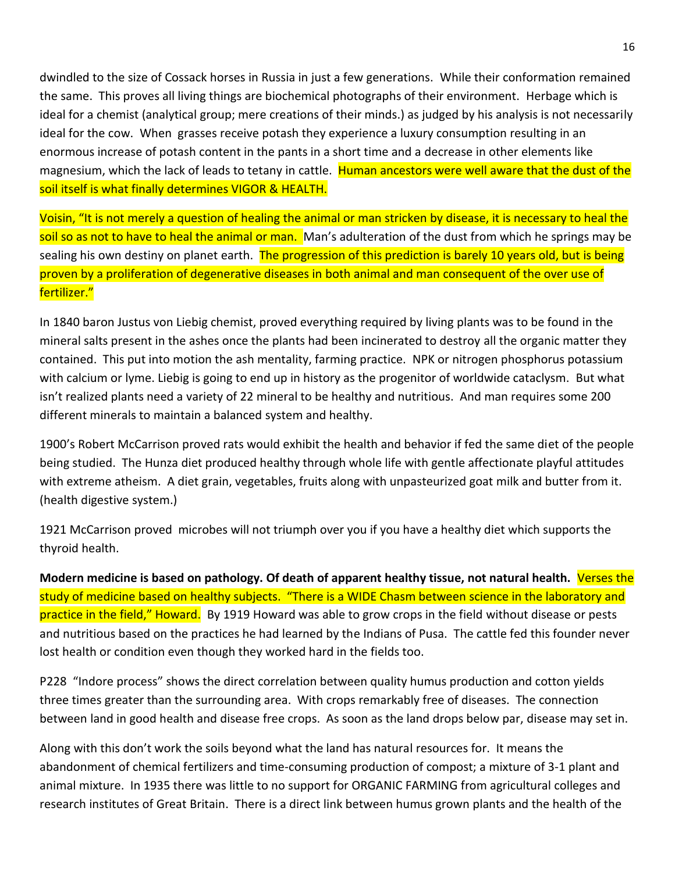dwindled to the size of Cossack horses in Russia in just a few generations. While their conformation remained the same. This proves all living things are biochemical photographs of their environment. Herbage which is ideal for a chemist (analytical group; mere creations of their minds.) as judged by his analysis is not necessarily ideal for the cow. When grasses receive potash they experience a luxury consumption resulting in an enormous increase of potash content in the pants in a short time and a decrease in other elements like magnesium, which the lack of leads to tetany in cattle. Human ancestors were well aware that the dust of the soil itself is what finally determines VIGOR & HEALTH.

Voisin, "It is not merely a question of healing the animal or man stricken by disease, it is necessary to heal the soil so as not to have to heal the animal or man. Man's adulteration of the dust from which he springs may be sealing his own destiny on planet earth. The progression of this prediction is barely 10 years old, but is being proven by a proliferation of degenerative diseases in both animal and man consequent of the over use of fertilizer."

In 1840 baron Justus von Liebig chemist, proved everything required by living plants was to be found in the mineral salts present in the ashes once the plants had been incinerated to destroy all the organic matter they contained. This put into motion the ash mentality, farming practice. NPK or nitrogen phosphorus potassium with calcium or lyme. Liebig is going to end up in history as the progenitor of worldwide cataclysm. But what isn't realized plants need a variety of 22 mineral to be healthy and nutritious. And man requires some 200 different minerals to maintain a balanced system and healthy.

1900's Robert McCarrison proved rats would exhibit the health and behavior if fed the same diet of the people being studied. The Hunza diet produced healthy through whole life with gentle affectionate playful attitudes with extreme atheism. A diet grain, vegetables, fruits along with unpasteurized goat milk and butter from it. (health digestive system.)

1921 McCarrison proved microbes will not triumph over you if you have a healthy diet which supports the thyroid health.

**Modern medicine is based on pathology. Of death of apparent healthy tissue, not natural health.** Verses the study of medicine based on healthy subjects. "There is a WIDE Chasm between science in the laboratory and practice in the field," Howard. By 1919 Howard was able to grow crops in the field without disease or pests and nutritious based on the practices he had learned by the Indians of Pusa. The cattle fed this founder never lost health or condition even though they worked hard in the fields too.

P228 "Indore process" shows the direct correlation between quality humus production and cotton yields three times greater than the surrounding area. With crops remarkably free of diseases. The connection between land in good health and disease free crops. As soon as the land drops below par, disease may set in.

Along with this don't work the soils beyond what the land has natural resources for. It means the abandonment of chemical fertilizers and time-consuming production of compost; a mixture of 3-1 plant and animal mixture. In 1935 there was little to no support for ORGANIC FARMING from agricultural colleges and research institutes of Great Britain. There is a direct link between humus grown plants and the health of the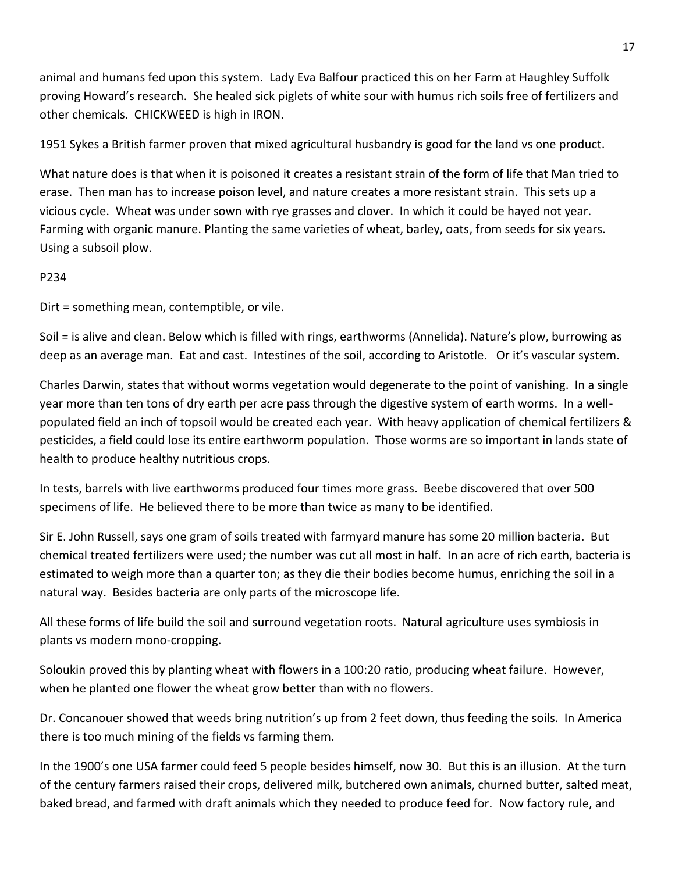animal and humans fed upon this system. Lady Eva Balfour practiced this on her Farm at Haughley Suffolk proving Howard's research. She healed sick piglets of white sour with humus rich soils free of fertilizers and other chemicals. CHICKWEED is high in IRON.

1951 Sykes a British farmer proven that mixed agricultural husbandry is good for the land vs one product.

What nature does is that when it is poisoned it creates a resistant strain of the form of life that Man tried to erase. Then man has to increase poison level, and nature creates a more resistant strain. This sets up a vicious cycle. Wheat was under sown with rye grasses and clover. In which it could be hayed not year. Farming with organic manure. Planting the same varieties of wheat, barley, oats, from seeds for six years. Using a subsoil plow.

## P234

Dirt = something mean, contemptible, or vile.

Soil = is alive and clean. Below which is filled with rings, earthworms (Annelida). Nature's plow, burrowing as deep as an average man. Eat and cast. Intestines of the soil, according to Aristotle. Or it's vascular system.

Charles Darwin, states that without worms vegetation would degenerate to the point of vanishing. In a single year more than ten tons of dry earth per acre pass through the digestive system of earth worms. In a wellpopulated field an inch of topsoil would be created each year. With heavy application of chemical fertilizers & pesticides, a field could lose its entire earthworm population. Those worms are so important in lands state of health to produce healthy nutritious crops.

In tests, barrels with live earthworms produced four times more grass. Beebe discovered that over 500 specimens of life. He believed there to be more than twice as many to be identified.

Sir E. John Russell, says one gram of soils treated with farmyard manure has some 20 million bacteria. But chemical treated fertilizers were used; the number was cut all most in half. In an acre of rich earth, bacteria is estimated to weigh more than a quarter ton; as they die their bodies become humus, enriching the soil in a natural way. Besides bacteria are only parts of the microscope life.

All these forms of life build the soil and surround vegetation roots. Natural agriculture uses symbiosis in plants vs modern mono-cropping.

Soloukin proved this by planting wheat with flowers in a 100:20 ratio, producing wheat failure. However, when he planted one flower the wheat grow better than with no flowers.

Dr. Concanouer showed that weeds bring nutrition's up from 2 feet down, thus feeding the soils. In America there is too much mining of the fields vs farming them.

In the 1900's one USA farmer could feed 5 people besides himself, now 30. But this is an illusion. At the turn of the century farmers raised their crops, delivered milk, butchered own animals, churned butter, salted meat, baked bread, and farmed with draft animals which they needed to produce feed for. Now factory rule, and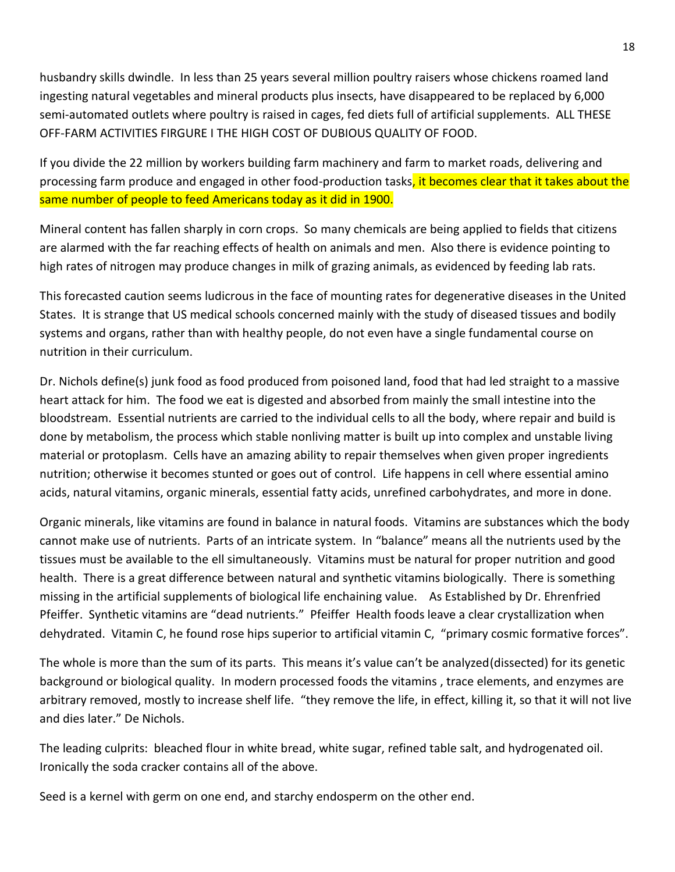husbandry skills dwindle. In less than 25 years several million poultry raisers whose chickens roamed land ingesting natural vegetables and mineral products plus insects, have disappeared to be replaced by 6,000 semi-automated outlets where poultry is raised in cages, fed diets full of artificial supplements. ALL THESE OFF-FARM ACTIVITIES FIRGURE I THE HIGH COST OF DUBIOUS QUALITY OF FOOD.

If you divide the 22 million by workers building farm machinery and farm to market roads, delivering and processing farm produce and engaged in other food-production tasks, it becomes clear that it takes about the same number of people to feed Americans today as it did in 1900.

Mineral content has fallen sharply in corn crops. So many chemicals are being applied to fields that citizens are alarmed with the far reaching effects of health on animals and men. Also there is evidence pointing to high rates of nitrogen may produce changes in milk of grazing animals, as evidenced by feeding lab rats.

This forecasted caution seems ludicrous in the face of mounting rates for degenerative diseases in the United States. It is strange that US medical schools concerned mainly with the study of diseased tissues and bodily systems and organs, rather than with healthy people, do not even have a single fundamental course on nutrition in their curriculum.

Dr. Nichols define(s) junk food as food produced from poisoned land, food that had led straight to a massive heart attack for him. The food we eat is digested and absorbed from mainly the small intestine into the bloodstream. Essential nutrients are carried to the individual cells to all the body, where repair and build is done by metabolism, the process which stable nonliving matter is built up into complex and unstable living material or protoplasm. Cells have an amazing ability to repair themselves when given proper ingredients nutrition; otherwise it becomes stunted or goes out of control. Life happens in cell where essential amino acids, natural vitamins, organic minerals, essential fatty acids, unrefined carbohydrates, and more in done.

Organic minerals, like vitamins are found in balance in natural foods. Vitamins are substances which the body cannot make use of nutrients. Parts of an intricate system. In "balance" means all the nutrients used by the tissues must be available to the ell simultaneously. Vitamins must be natural for proper nutrition and good health. There is a great difference between natural and synthetic vitamins biologically. There is something missing in the artificial supplements of biological life enchaining value. As Established by Dr. Ehrenfried Pfeiffer. Synthetic vitamins are "dead nutrients." Pfeiffer Health foods leave a clear crystallization when dehydrated. Vitamin C, he found rose hips superior to artificial vitamin C, "primary cosmic formative forces".

The whole is more than the sum of its parts. This means it's value can't be analyzed(dissected) for its genetic background or biological quality. In modern processed foods the vitamins , trace elements, and enzymes are arbitrary removed, mostly to increase shelf life. "they remove the life, in effect, killing it, so that it will not live and dies later." De Nichols.

The leading culprits: bleached flour in white bread, white sugar, refined table salt, and hydrogenated oil. Ironically the soda cracker contains all of the above.

Seed is a kernel with germ on one end, and starchy endosperm on the other end.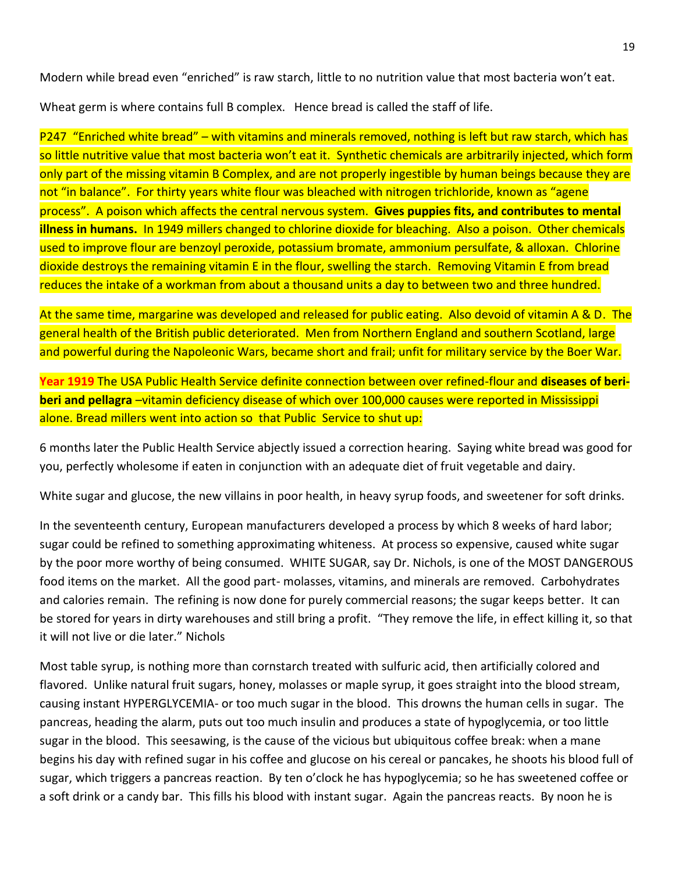Modern while bread even "enriched" is raw starch, little to no nutrition value that most bacteria won't eat.

Wheat germ is where contains full B complex. Hence bread is called the staff of life.

P247 "Enriched white bread" – with vitamins and minerals removed, nothing is left but raw starch, which has so little nutritive value that most bacteria won't eat it. Synthetic chemicals are arbitrarily injected, which form only part of the missing vitamin B Complex, and are not properly ingestible by human beings because they are not "in balance". For thirty years white flour was bleached with nitrogen trichloride, known as "agene process". A poison which affects the central nervous system. **Gives puppies fits, and contributes to mental illness in humans.** In 1949 millers changed to chlorine dioxide for bleaching. Also a poison. Other chemicals used to improve flour are benzoyl peroxide, potassium bromate, ammonium persulfate, & alloxan. Chlorine dioxide destroys the remaining vitamin E in the flour, swelling the starch. Removing Vitamin E from bread reduces the intake of a workman from about a thousand units a day to between two and three hundred.

At the same time, margarine was developed and released for public eating. Also devoid of vitamin A & D. The general health of the British public deteriorated. Men from Northern England and southern Scotland, large and powerful during the Napoleonic Wars, became short and frail; unfit for military service by the Boer War.

**Year 1919** The USA Public Health Service definite connection between over refined-flour and **diseases of beriberi and pellagra** –vitamin deficiency disease of which over 100,000 causes were reported in Mississippi alone. Bread millers went into action so that Public Service to shut up:

6 months later the Public Health Service abjectly issued a correction hearing. Saying white bread was good for you, perfectly wholesome if eaten in conjunction with an adequate diet of fruit vegetable and dairy.

White sugar and glucose, the new villains in poor health, in heavy syrup foods, and sweetener for soft drinks.

In the seventeenth century, European manufacturers developed a process by which 8 weeks of hard labor; sugar could be refined to something approximating whiteness. At process so expensive, caused white sugar by the poor more worthy of being consumed. WHITE SUGAR, say Dr. Nichols, is one of the MOST DANGEROUS food items on the market. All the good part- molasses, vitamins, and minerals are removed. Carbohydrates and calories remain. The refining is now done for purely commercial reasons; the sugar keeps better. It can be stored for years in dirty warehouses and still bring a profit. "They remove the life, in effect killing it, so that it will not live or die later." Nichols

Most table syrup, is nothing more than cornstarch treated with sulfuric acid, then artificially colored and flavored. Unlike natural fruit sugars, honey, molasses or maple syrup, it goes straight into the blood stream, causing instant HYPERGLYCEMIA- or too much sugar in the blood. This drowns the human cells in sugar. The pancreas, heading the alarm, puts out too much insulin and produces a state of hypoglycemia, or too little sugar in the blood. This seesawing, is the cause of the vicious but ubiquitous coffee break: when a mane begins his day with refined sugar in his coffee and glucose on his cereal or pancakes, he shoots his blood full of sugar, which triggers a pancreas reaction. By ten o'clock he has hypoglycemia; so he has sweetened coffee or a soft drink or a candy bar. This fills his blood with instant sugar. Again the pancreas reacts. By noon he is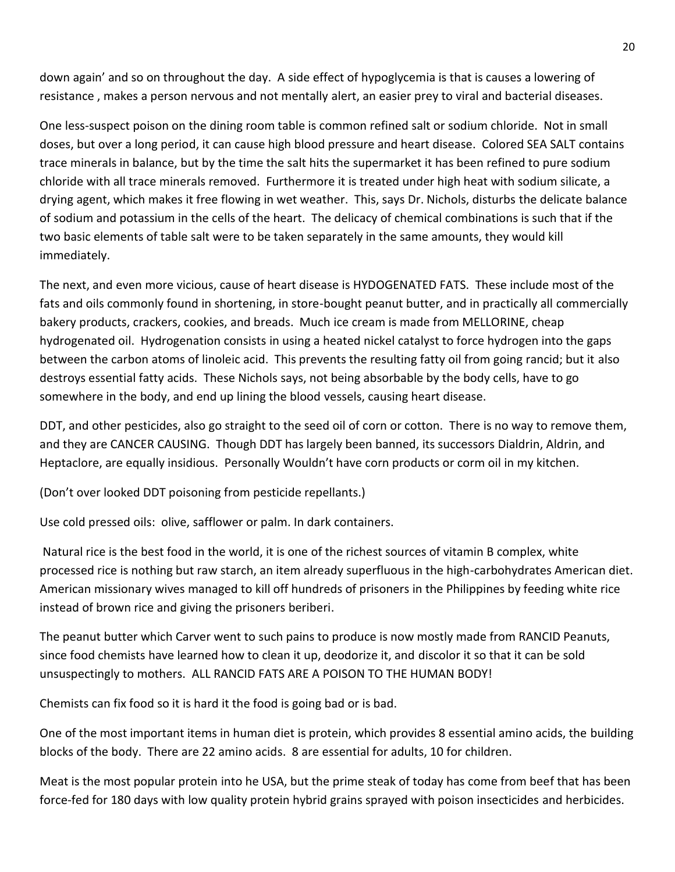down again' and so on throughout the day. A side effect of hypoglycemia is that is causes a lowering of resistance , makes a person nervous and not mentally alert, an easier prey to viral and bacterial diseases.

One less-suspect poison on the dining room table is common refined salt or sodium chloride. Not in small doses, but over a long period, it can cause high blood pressure and heart disease. Colored SEA SALT contains trace minerals in balance, but by the time the salt hits the supermarket it has been refined to pure sodium chloride with all trace minerals removed. Furthermore it is treated under high heat with sodium silicate, a drying agent, which makes it free flowing in wet weather. This, says Dr. Nichols, disturbs the delicate balance of sodium and potassium in the cells of the heart. The delicacy of chemical combinations is such that if the two basic elements of table salt were to be taken separately in the same amounts, they would kill immediately.

The next, and even more vicious, cause of heart disease is HYDOGENATED FATS. These include most of the fats and oils commonly found in shortening, in store-bought peanut butter, and in practically all commercially bakery products, crackers, cookies, and breads. Much ice cream is made from MELLORINE, cheap hydrogenated oil. Hydrogenation consists in using a heated nickel catalyst to force hydrogen into the gaps between the carbon atoms of linoleic acid. This prevents the resulting fatty oil from going rancid; but it also destroys essential fatty acids. These Nichols says, not being absorbable by the body cells, have to go somewhere in the body, and end up lining the blood vessels, causing heart disease.

DDT, and other pesticides, also go straight to the seed oil of corn or cotton. There is no way to remove them, and they are CANCER CAUSING. Though DDT has largely been banned, its successors Dialdrin, Aldrin, and Heptaclore, are equally insidious. Personally Wouldn't have corn products or corm oil in my kitchen.

(Don't over looked DDT poisoning from pesticide repellants.)

Use cold pressed oils: olive, safflower or palm. In dark containers.

Natural rice is the best food in the world, it is one of the richest sources of vitamin B complex, white processed rice is nothing but raw starch, an item already superfluous in the high-carbohydrates American diet. American missionary wives managed to kill off hundreds of prisoners in the Philippines by feeding white rice instead of brown rice and giving the prisoners beriberi.

The peanut butter which Carver went to such pains to produce is now mostly made from RANCID Peanuts, since food chemists have learned how to clean it up, deodorize it, and discolor it so that it can be sold unsuspectingly to mothers. ALL RANCID FATS ARE A POISON TO THE HUMAN BODY!

Chemists can fix food so it is hard it the food is going bad or is bad.

One of the most important items in human diet is protein, which provides 8 essential amino acids, the building blocks of the body. There are 22 amino acids. 8 are essential for adults, 10 for children.

Meat is the most popular protein into he USA, but the prime steak of today has come from beef that has been force-fed for 180 days with low quality protein hybrid grains sprayed with poison insecticides and herbicides.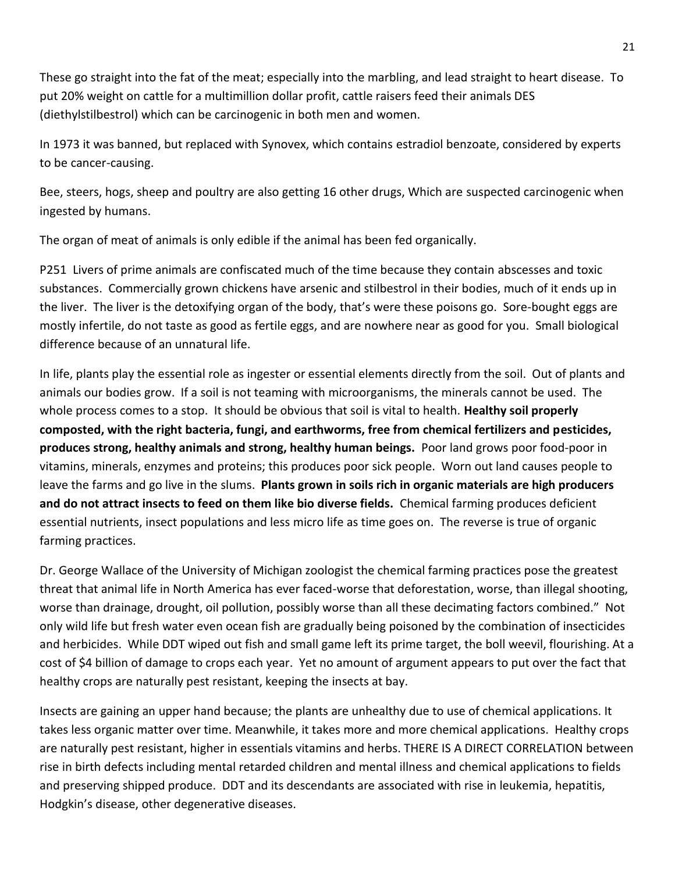These go straight into the fat of the meat; especially into the marbling, and lead straight to heart disease. To put 20% weight on cattle for a multimillion dollar profit, cattle raisers feed their animals DES (diethylstilbestrol) which can be carcinogenic in both men and women.

In 1973 it was banned, but replaced with Synovex, which contains estradiol benzoate, considered by experts to be cancer-causing.

Bee, steers, hogs, sheep and poultry are also getting 16 other drugs, Which are suspected carcinogenic when ingested by humans.

The organ of meat of animals is only edible if the animal has been fed organically.

P251 Livers of prime animals are confiscated much of the time because they contain abscesses and toxic substances. Commercially grown chickens have arsenic and stilbestrol in their bodies, much of it ends up in the liver. The liver is the detoxifying organ of the body, that's were these poisons go. Sore-bought eggs are mostly infertile, do not taste as good as fertile eggs, and are nowhere near as good for you. Small biological difference because of an unnatural life.

In life, plants play the essential role as ingester or essential elements directly from the soil. Out of plants and animals our bodies grow. If a soil is not teaming with microorganisms, the minerals cannot be used. The whole process comes to a stop. It should be obvious that soil is vital to health. **Healthy soil properly composted, with the right bacteria, fungi, and earthworms, free from chemical fertilizers and pesticides, produces strong, healthy animals and strong, healthy human beings.** Poor land grows poor food-poor in vitamins, minerals, enzymes and proteins; this produces poor sick people. Worn out land causes people to leave the farms and go live in the slums. **Plants grown in soils rich in organic materials are high producers and do not attract insects to feed on them like bio diverse fields.** Chemical farming produces deficient essential nutrients, insect populations and less micro life as time goes on. The reverse is true of organic farming practices.

Dr. George Wallace of the University of Michigan zoologist the chemical farming practices pose the greatest threat that animal life in North America has ever faced-worse that deforestation, worse, than illegal shooting, worse than drainage, drought, oil pollution, possibly worse than all these decimating factors combined." Not only wild life but fresh water even ocean fish are gradually being poisoned by the combination of insecticides and herbicides. While DDT wiped out fish and small game left its prime target, the boll weevil, flourishing. At a cost of \$4 billion of damage to crops each year. Yet no amount of argument appears to put over the fact that healthy crops are naturally pest resistant, keeping the insects at bay.

Insects are gaining an upper hand because; the plants are unhealthy due to use of chemical applications. It takes less organic matter over time. Meanwhile, it takes more and more chemical applications. Healthy crops are naturally pest resistant, higher in essentials vitamins and herbs. THERE IS A DIRECT CORRELATION between rise in birth defects including mental retarded children and mental illness and chemical applications to fields and preserving shipped produce. DDT and its descendants are associated with rise in leukemia, hepatitis, Hodgkin's disease, other degenerative diseases.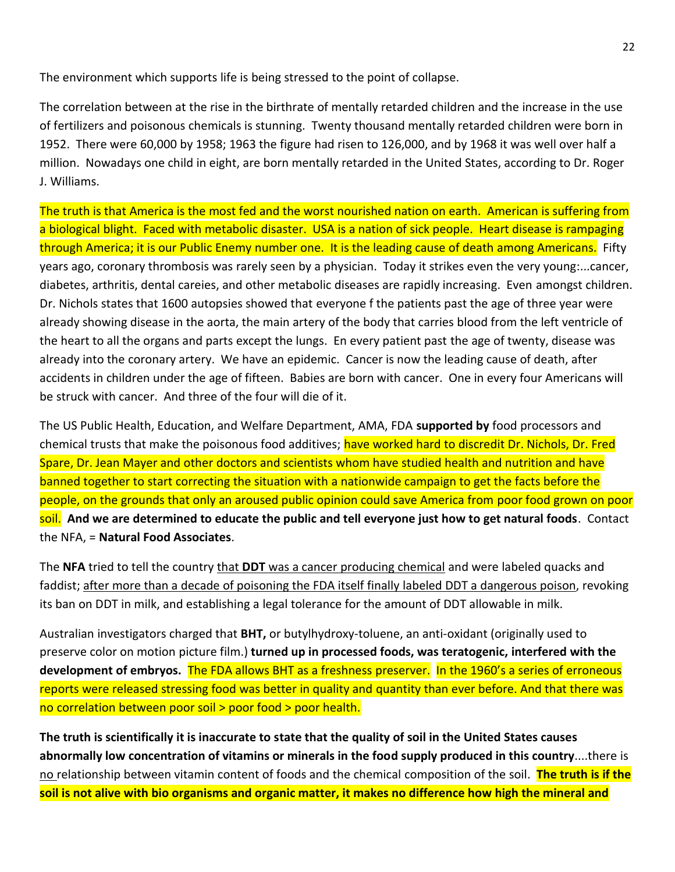The environment which supports life is being stressed to the point of collapse.

The correlation between at the rise in the birthrate of mentally retarded children and the increase in the use of fertilizers and poisonous chemicals is stunning. Twenty thousand mentally retarded children were born in 1952. There were 60,000 by 1958; 1963 the figure had risen to 126,000, and by 1968 it was well over half a million. Nowadays one child in eight, are born mentally retarded in the United States, according to Dr. Roger J. Williams.

The truth is that America is the most fed and the worst nourished nation on earth. American is suffering from a biological blight. Faced with metabolic disaster. USA is a nation of sick people. Heart disease is rampaging through America; it is our Public Enemy number one. It is the leading cause of death among Americans. Fifty years ago, coronary thrombosis was rarely seen by a physician. Today it strikes even the very young:...cancer, diabetes, arthritis, dental careies, and other metabolic diseases are rapidly increasing. Even amongst children. Dr. Nichols states that 1600 autopsies showed that everyone f the patients past the age of three year were already showing disease in the aorta, the main artery of the body that carries blood from the left ventricle of the heart to all the organs and parts except the lungs. En every patient past the age of twenty, disease was already into the coronary artery. We have an epidemic. Cancer is now the leading cause of death, after accidents in children under the age of fifteen. Babies are born with cancer. One in every four Americans will be struck with cancer. And three of the four will die of it.

The US Public Health, Education, and Welfare Department, AMA, FDA **supported by** food processors and chemical trusts that make the poisonous food additives; have worked hard to discredit Dr. Nichols, Dr. Fred Spare, Dr. Jean Mayer and other doctors and scientists whom have studied health and nutrition and have banned together to start correcting the situation with a nationwide campaign to get the facts before the people, on the grounds that only an aroused public opinion could save America from poor food grown on poor soil. **And we are determined to educate the public and tell everyone just how to get natural foods**. Contact the NFA, = **Natural Food Associates**.

The **NFA** tried to tell the country that **DDT** was a cancer producing chemical and were labeled quacks and faddist; after more than a decade of poisoning the FDA itself finally labeled DDT a dangerous poison, revoking its ban on DDT in milk, and establishing a legal tolerance for the amount of DDT allowable in milk.

Australian investigators charged that **BHT,** or butylhydroxy-toluene, an anti-oxidant (originally used to preserve color on motion picture film.) **turned up in processed foods, was teratogenic, interfered with the development of embryos.** The FDA allows BHT as a freshness preserver. In the 1960's a series of erroneous reports were released stressing food was better in quality and quantity than ever before. And that there was no correlation between poor soil > poor food > poor health.

**The truth is scientifically it is inaccurate to state that the quality of soil in the United States causes abnormally low concentration of vitamins or minerals in the food supply produced in this country**....there is no relationship between vitamin content of foods and the chemical composition of the soil. **The truth is if the soil is not alive with bio organisms and organic matter, it makes no difference how high the mineral and**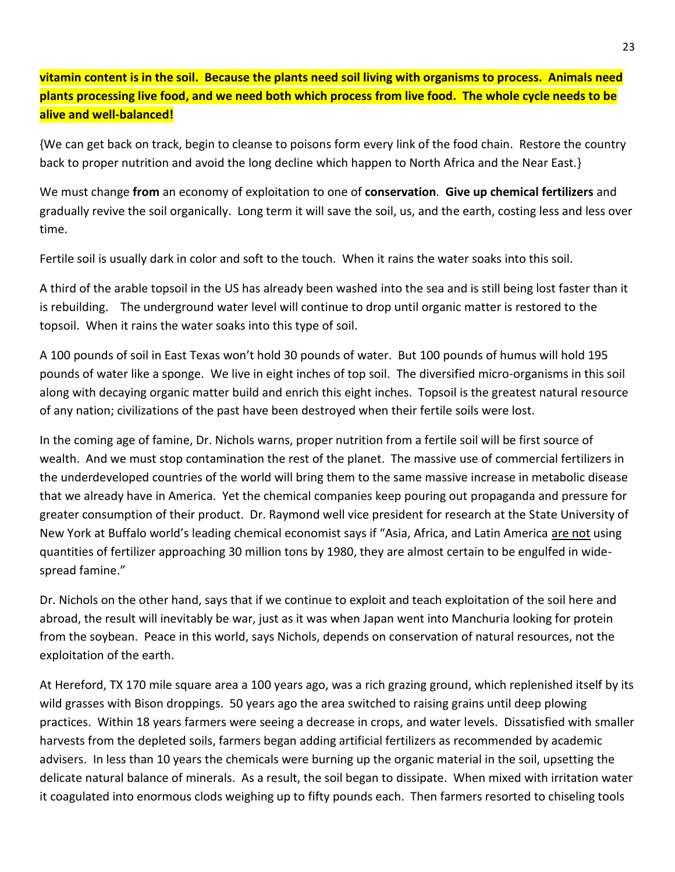**vitamin content is in the soil. Because the plants need soil living with organisms to process. Animals need plants processing live food, and we need both which process from live food. The whole cycle needs to be alive and well-balanced!**

{We can get back on track, begin to cleanse to poisons form every link of the food chain. Restore the country back to proper nutrition and avoid the long decline which happen to North Africa and the Near East.}

We must change **from** an economy of exploitation to one of **conservation**. **Give up chemical fertilizers** and gradually revive the soil organically. Long term it will save the soil, us, and the earth, costing less and less over time.

Fertile soil is usually dark in color and soft to the touch. When it rains the water soaks into this soil.

A third of the arable topsoil in the US has already been washed into the sea and is still being lost faster than it is rebuilding. The underground water level will continue to drop until organic matter is restored to the topsoil. When it rains the water soaks into this type of soil.

A 100 pounds of soil in East Texas won't hold 30 pounds of water. But 100 pounds of humus will hold 195 pounds of water like a sponge. We live in eight inches of top soil. The diversified micro-organisms in this soil along with decaying organic matter build and enrich this eight inches. Topsoil is the greatest natural resource of any nation; civilizations of the past have been destroyed when their fertile soils were lost.

In the coming age of famine, Dr. Nichols warns, proper nutrition from a fertile soil will be first source of wealth. And we must stop contamination the rest of the planet. The massive use of commercial fertilizers in the underdeveloped countries of the world will bring them to the same massive increase in metabolic disease that we already have in America. Yet the chemical companies keep pouring out propaganda and pressure for greater consumption of their product. Dr. Raymond well vice president for research at the State University of New York at Buffalo world's leading chemical economist says if "Asia, Africa, and Latin America are not using quantities of fertilizer approaching 30 million tons by 1980, they are almost certain to be engulfed in widespread famine."

Dr. Nichols on the other hand, says that if we continue to exploit and teach exploitation of the soil here and abroad, the result will inevitably be war, just as it was when Japan went into Manchuria looking for protein from the soybean. Peace in this world, says Nichols, depends on conservation of natural resources, not the exploitation of the earth.

At Hereford, TX 170 mile square area a 100 years ago, was a rich grazing ground, which replenished itself by its wild grasses with Bison droppings. 50 years ago the area switched to raising grains until deep plowing practices. Within 18 years farmers were seeing a decrease in crops, and water levels. Dissatisfied with smaller harvests from the depleted soils, farmers began adding artificial fertilizers as recommended by academic advisers. In less than 10 years the chemicals were burning up the organic material in the soil, upsetting the delicate natural balance of minerals. As a result, the soil began to dissipate. When mixed with irritation water it coagulated into enormous clods weighing up to fifty pounds each. Then farmers resorted to chiseling tools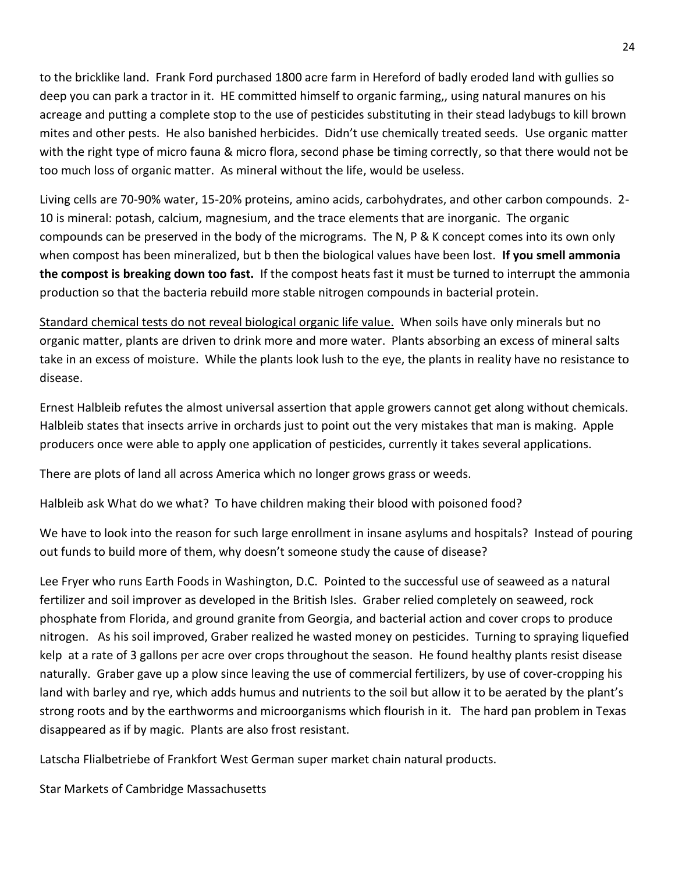to the bricklike land. Frank Ford purchased 1800 acre farm in Hereford of badly eroded land with gullies so deep you can park a tractor in it. HE committed himself to organic farming,, using natural manures on his acreage and putting a complete stop to the use of pesticides substituting in their stead ladybugs to kill brown mites and other pests. He also banished herbicides. Didn't use chemically treated seeds. Use organic matter with the right type of micro fauna & micro flora, second phase be timing correctly, so that there would not be too much loss of organic matter. As mineral without the life, would be useless.

Living cells are 70-90% water, 15-20% proteins, amino acids, carbohydrates, and other carbon compounds. 2- 10 is mineral: potash, calcium, magnesium, and the trace elements that are inorganic. The organic compounds can be preserved in the body of the micrograms. The N, P & K concept comes into its own only when compost has been mineralized, but b then the biological values have been lost. **If you smell ammonia the compost is breaking down too fast.** If the compost heats fast it must be turned to interrupt the ammonia production so that the bacteria rebuild more stable nitrogen compounds in bacterial protein.

Standard chemical tests do not reveal biological organic life value. When soils have only minerals but no organic matter, plants are driven to drink more and more water. Plants absorbing an excess of mineral salts take in an excess of moisture. While the plants look lush to the eye, the plants in reality have no resistance to disease.

Ernest Halbleib refutes the almost universal assertion that apple growers cannot get along without chemicals. Halbleib states that insects arrive in orchards just to point out the very mistakes that man is making. Apple producers once were able to apply one application of pesticides, currently it takes several applications.

There are plots of land all across America which no longer grows grass or weeds.

Halbleib ask What do we what? To have children making their blood with poisoned food?

We have to look into the reason for such large enrollment in insane asylums and hospitals? Instead of pouring out funds to build more of them, why doesn't someone study the cause of disease?

Lee Fryer who runs Earth Foods in Washington, D.C. Pointed to the successful use of seaweed as a natural fertilizer and soil improver as developed in the British Isles. Graber relied completely on seaweed, rock phosphate from Florida, and ground granite from Georgia, and bacterial action and cover crops to produce nitrogen. As his soil improved, Graber realized he wasted money on pesticides. Turning to spraying liquefied kelp at a rate of 3 gallons per acre over crops throughout the season. He found healthy plants resist disease naturally. Graber gave up a plow since leaving the use of commercial fertilizers, by use of cover-cropping his land with barley and rye, which adds humus and nutrients to the soil but allow it to be aerated by the plant's strong roots and by the earthworms and microorganisms which flourish in it. The hard pan problem in Texas disappeared as if by magic. Plants are also frost resistant.

Latscha Flialbetriebe of Frankfort West German super market chain natural products.

Star Markets of Cambridge Massachusetts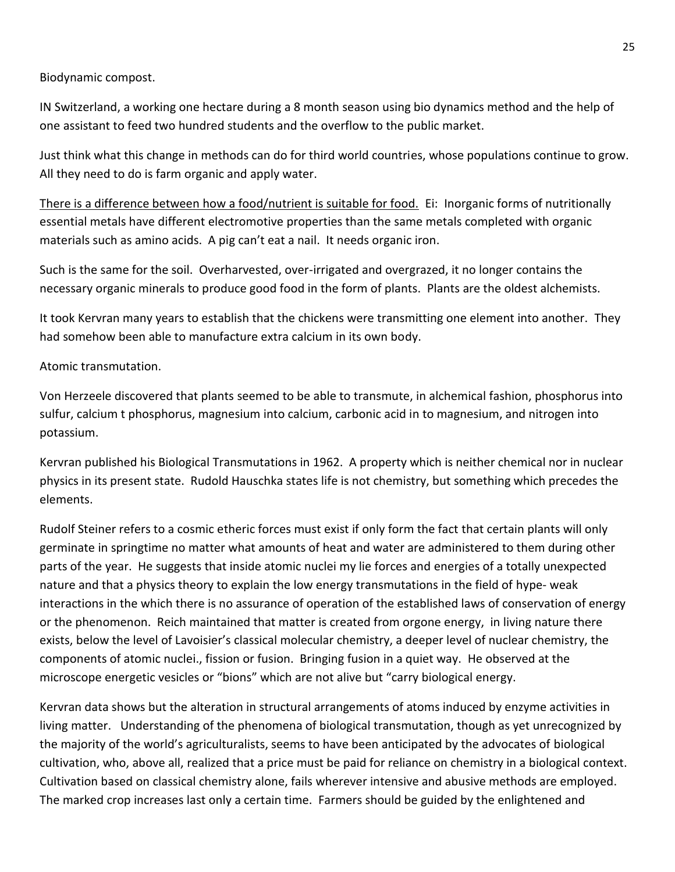Biodynamic compost.

IN Switzerland, a working one hectare during a 8 month season using bio dynamics method and the help of one assistant to feed two hundred students and the overflow to the public market.

Just think what this change in methods can do for third world countries, whose populations continue to grow. All they need to do is farm organic and apply water.

There is a difference between how a food/nutrient is suitable for food. Ei: Inorganic forms of nutritionally essential metals have different electromotive properties than the same metals completed with organic materials such as amino acids. A pig can't eat a nail. It needs organic iron.

Such is the same for the soil. Overharvested, over-irrigated and overgrazed, it no longer contains the necessary organic minerals to produce good food in the form of plants. Plants are the oldest alchemists.

It took Kervran many years to establish that the chickens were transmitting one element into another. They had somehow been able to manufacture extra calcium in its own body.

Atomic transmutation.

Von Herzeele discovered that plants seemed to be able to transmute, in alchemical fashion, phosphorus into sulfur, calcium t phosphorus, magnesium into calcium, carbonic acid in to magnesium, and nitrogen into potassium.

Kervran published his Biological Transmutations in 1962. A property which is neither chemical nor in nuclear physics in its present state. Rudold Hauschka states life is not chemistry, but something which precedes the elements.

Rudolf Steiner refers to a cosmic etheric forces must exist if only form the fact that certain plants will only germinate in springtime no matter what amounts of heat and water are administered to them during other parts of the year. He suggests that inside atomic nuclei my lie forces and energies of a totally unexpected nature and that a physics theory to explain the low energy transmutations in the field of hype- weak interactions in the which there is no assurance of operation of the established laws of conservation of energy or the phenomenon. Reich maintained that matter is created from orgone energy, in living nature there exists, below the level of Lavoisier's classical molecular chemistry, a deeper level of nuclear chemistry, the components of atomic nuclei., fission or fusion. Bringing fusion in a quiet way. He observed at the microscope energetic vesicles or "bions" which are not alive but "carry biological energy.

Kervran data shows but the alteration in structural arrangements of atoms induced by enzyme activities in living matter. Understanding of the phenomena of biological transmutation, though as yet unrecognized by the majority of the world's agriculturalists, seems to have been anticipated by the advocates of biological cultivation, who, above all, realized that a price must be paid for reliance on chemistry in a biological context. Cultivation based on classical chemistry alone, fails wherever intensive and abusive methods are employed. The marked crop increases last only a certain time. Farmers should be guided by the enlightened and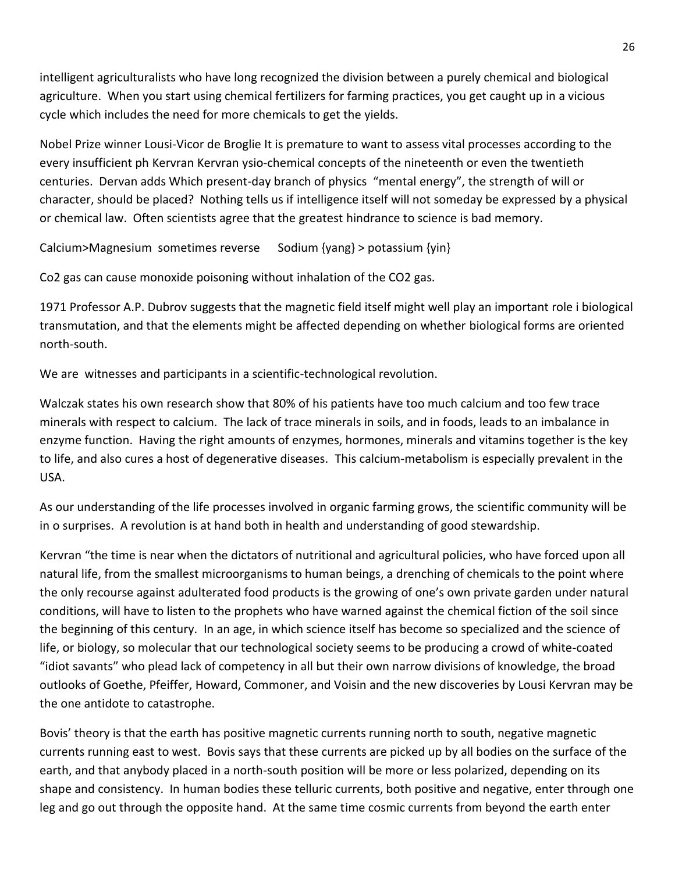intelligent agriculturalists who have long recognized the division between a purely chemical and biological agriculture. When you start using chemical fertilizers for farming practices, you get caught up in a vicious cycle which includes the need for more chemicals to get the yields.

Nobel Prize winner Lousi-Vicor de Broglie It is premature to want to assess vital processes according to the every insufficient ph Kervran Kervran ysio-chemical concepts of the nineteenth or even the twentieth centuries. Dervan adds Which present-day branch of physics "mental energy", the strength of will or character, should be placed? Nothing tells us if intelligence itself will not someday be expressed by a physical or chemical law. Often scientists agree that the greatest hindrance to science is bad memory.

Calcium>Magnesium sometimes reverse Sodium {yang} > potassium {yin}

Co2 gas can cause monoxide poisoning without inhalation of the CO2 gas.

1971 Professor A.P. Dubrov suggests that the magnetic field itself might well play an important role i biological transmutation, and that the elements might be affected depending on whether biological forms are oriented north-south.

We are witnesses and participants in a scientific-technological revolution.

Walczak states his own research show that 80% of his patients have too much calcium and too few trace minerals with respect to calcium. The lack of trace minerals in soils, and in foods, leads to an imbalance in enzyme function. Having the right amounts of enzymes, hormones, minerals and vitamins together is the key to life, and also cures a host of degenerative diseases. This calcium-metabolism is especially prevalent in the USA.

As our understanding of the life processes involved in organic farming grows, the scientific community will be in o surprises. A revolution is at hand both in health and understanding of good stewardship.

Kervran "the time is near when the dictators of nutritional and agricultural policies, who have forced upon all natural life, from the smallest microorganisms to human beings, a drenching of chemicals to the point where the only recourse against adulterated food products is the growing of one's own private garden under natural conditions, will have to listen to the prophets who have warned against the chemical fiction of the soil since the beginning of this century. In an age, in which science itself has become so specialized and the science of life, or biology, so molecular that our technological society seems to be producing a crowd of white-coated "idiot savants" who plead lack of competency in all but their own narrow divisions of knowledge, the broad outlooks of Goethe, Pfeiffer, Howard, Commoner, and Voisin and the new discoveries by Lousi Kervran may be the one antidote to catastrophe.

Bovis' theory is that the earth has positive magnetic currents running north to south, negative magnetic currents running east to west. Bovis says that these currents are picked up by all bodies on the surface of the earth, and that anybody placed in a north-south position will be more or less polarized, depending on its shape and consistency. In human bodies these telluric currents, both positive and negative, enter through one leg and go out through the opposite hand. At the same time cosmic currents from beyond the earth enter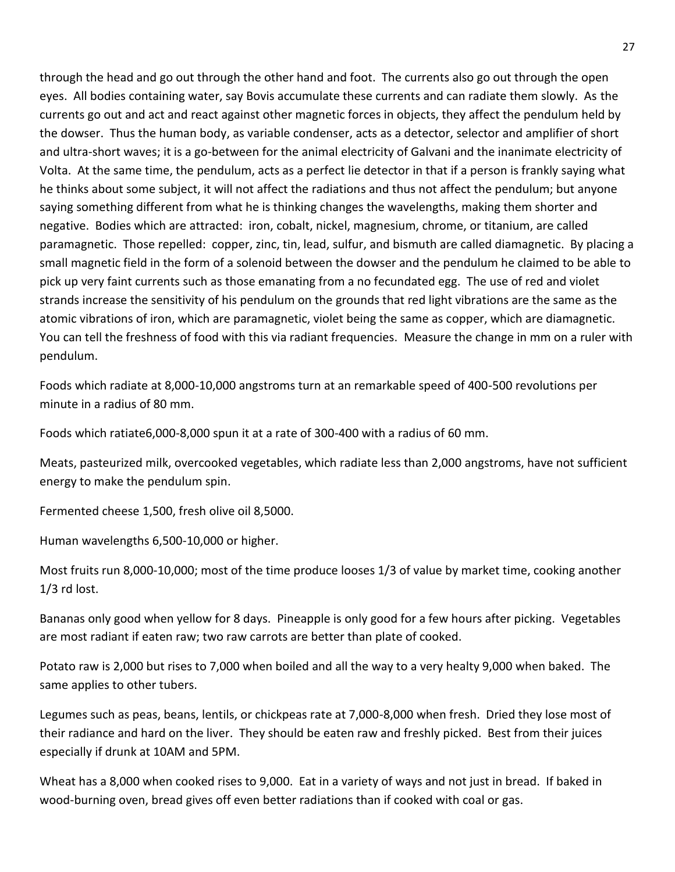through the head and go out through the other hand and foot. The currents also go out through the open eyes. All bodies containing water, say Bovis accumulate these currents and can radiate them slowly. As the currents go out and act and react against other magnetic forces in objects, they affect the pendulum held by the dowser. Thus the human body, as variable condenser, acts as a detector, selector and amplifier of short and ultra-short waves; it is a go-between for the animal electricity of Galvani and the inanimate electricity of Volta. At the same time, the pendulum, acts as a perfect lie detector in that if a person is frankly saying what he thinks about some subject, it will not affect the radiations and thus not affect the pendulum; but anyone saying something different from what he is thinking changes the wavelengths, making them shorter and negative. Bodies which are attracted: iron, cobalt, nickel, magnesium, chrome, or titanium, are called paramagnetic. Those repelled: copper, zinc, tin, lead, sulfur, and bismuth are called diamagnetic. By placing a small magnetic field in the form of a solenoid between the dowser and the pendulum he claimed to be able to pick up very faint currents such as those emanating from a no fecundated egg. The use of red and violet strands increase the sensitivity of his pendulum on the grounds that red light vibrations are the same as the atomic vibrations of iron, which are paramagnetic, violet being the same as copper, which are diamagnetic. You can tell the freshness of food with this via radiant frequencies. Measure the change in mm on a ruler with pendulum.

Foods which radiate at 8,000-10,000 angstroms turn at an remarkable speed of 400-500 revolutions per minute in a radius of 80 mm.

Foods which ratiate6,000-8,000 spun it at a rate of 300-400 with a radius of 60 mm.

Meats, pasteurized milk, overcooked vegetables, which radiate less than 2,000 angstroms, have not sufficient energy to make the pendulum spin.

Fermented cheese 1,500, fresh olive oil 8,5000.

Human wavelengths 6,500-10,000 or higher.

Most fruits run 8,000-10,000; most of the time produce looses 1/3 of value by market time, cooking another 1/3 rd lost.

Bananas only good when yellow for 8 days. Pineapple is only good for a few hours after picking. Vegetables are most radiant if eaten raw; two raw carrots are better than plate of cooked.

Potato raw is 2,000 but rises to 7,000 when boiled and all the way to a very healty 9,000 when baked. The same applies to other tubers.

Legumes such as peas, beans, lentils, or chickpeas rate at 7,000-8,000 when fresh. Dried they lose most of their radiance and hard on the liver. They should be eaten raw and freshly picked. Best from their juices especially if drunk at 10AM and 5PM.

Wheat has a 8,000 when cooked rises to 9,000. Eat in a variety of ways and not just in bread. If baked in wood-burning oven, bread gives off even better radiations than if cooked with coal or gas.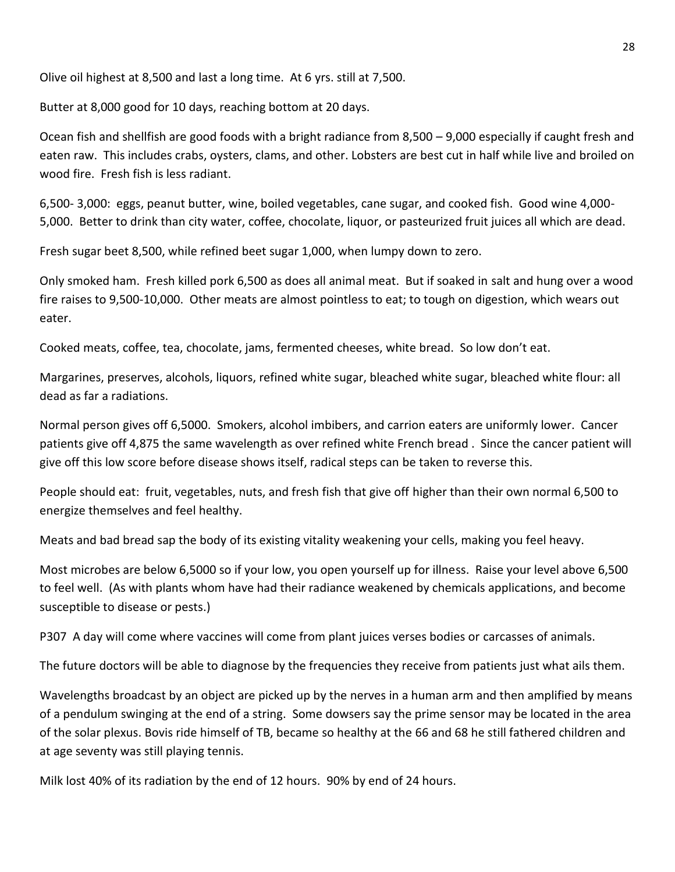Olive oil highest at 8,500 and last a long time. At 6 yrs. still at 7,500.

Butter at 8,000 good for 10 days, reaching bottom at 20 days.

Ocean fish and shellfish are good foods with a bright radiance from 8,500 – 9,000 especially if caught fresh and eaten raw. This includes crabs, oysters, clams, and other. Lobsters are best cut in half while live and broiled on wood fire. Fresh fish is less radiant.

6,500- 3,000: eggs, peanut butter, wine, boiled vegetables, cane sugar, and cooked fish. Good wine 4,000- 5,000. Better to drink than city water, coffee, chocolate, liquor, or pasteurized fruit juices all which are dead.

Fresh sugar beet 8,500, while refined beet sugar 1,000, when lumpy down to zero.

Only smoked ham. Fresh killed pork 6,500 as does all animal meat. But if soaked in salt and hung over a wood fire raises to 9,500-10,000. Other meats are almost pointless to eat; to tough on digestion, which wears out eater.

Cooked meats, coffee, tea, chocolate, jams, fermented cheeses, white bread. So low don't eat.

Margarines, preserves, alcohols, liquors, refined white sugar, bleached white sugar, bleached white flour: all dead as far a radiations.

Normal person gives off 6,5000. Smokers, alcohol imbibers, and carrion eaters are uniformly lower. Cancer patients give off 4,875 the same wavelength as over refined white French bread . Since the cancer patient will give off this low score before disease shows itself, radical steps can be taken to reverse this.

People should eat: fruit, vegetables, nuts, and fresh fish that give off higher than their own normal 6,500 to energize themselves and feel healthy.

Meats and bad bread sap the body of its existing vitality weakening your cells, making you feel heavy.

Most microbes are below 6,5000 so if your low, you open yourself up for illness. Raise your level above 6,500 to feel well. (As with plants whom have had their radiance weakened by chemicals applications, and become susceptible to disease or pests.)

P307 A day will come where vaccines will come from plant juices verses bodies or carcasses of animals.

The future doctors will be able to diagnose by the frequencies they receive from patients just what ails them.

Wavelengths broadcast by an object are picked up by the nerves in a human arm and then amplified by means of a pendulum swinging at the end of a string. Some dowsers say the prime sensor may be located in the area of the solar plexus. Bovis ride himself of TB, became so healthy at the 66 and 68 he still fathered children and at age seventy was still playing tennis.

Milk lost 40% of its radiation by the end of 12 hours. 90% by end of 24 hours.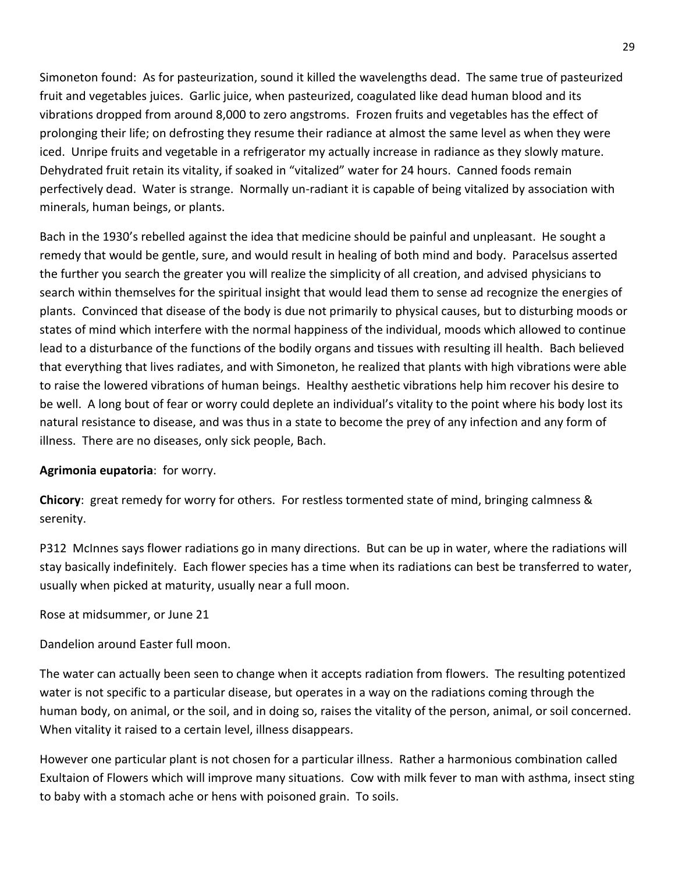Simoneton found: As for pasteurization, sound it killed the wavelengths dead. The same true of pasteurized fruit and vegetables juices. Garlic juice, when pasteurized, coagulated like dead human blood and its vibrations dropped from around 8,000 to zero angstroms. Frozen fruits and vegetables has the effect of prolonging their life; on defrosting they resume their radiance at almost the same level as when they were iced. Unripe fruits and vegetable in a refrigerator my actually increase in radiance as they slowly mature. Dehydrated fruit retain its vitality, if soaked in "vitalized" water for 24 hours. Canned foods remain perfectively dead. Water is strange. Normally un-radiant it is capable of being vitalized by association with minerals, human beings, or plants.

Bach in the 1930's rebelled against the idea that medicine should be painful and unpleasant. He sought a remedy that would be gentle, sure, and would result in healing of both mind and body. Paracelsus asserted the further you search the greater you will realize the simplicity of all creation, and advised physicians to search within themselves for the spiritual insight that would lead them to sense ad recognize the energies of plants. Convinced that disease of the body is due not primarily to physical causes, but to disturbing moods or states of mind which interfere with the normal happiness of the individual, moods which allowed to continue lead to a disturbance of the functions of the bodily organs and tissues with resulting ill health. Bach believed that everything that lives radiates, and with Simoneton, he realized that plants with high vibrations were able to raise the lowered vibrations of human beings. Healthy aesthetic vibrations help him recover his desire to be well. A long bout of fear or worry could deplete an individual's vitality to the point where his body lost its natural resistance to disease, and was thus in a state to become the prey of any infection and any form of illness. There are no diseases, only sick people, Bach.

# **Agrimonia eupatoria**: for worry.

**Chicory**: great remedy for worry for others. For restless tormented state of mind, bringing calmness & serenity.

P312 McInnes says flower radiations go in many directions. But can be up in water, where the radiations will stay basically indefinitely. Each flower species has a time when its radiations can best be transferred to water, usually when picked at maturity, usually near a full moon.

Rose at midsummer, or June 21

Dandelion around Easter full moon.

The water can actually been seen to change when it accepts radiation from flowers. The resulting potentized water is not specific to a particular disease, but operates in a way on the radiations coming through the human body, on animal, or the soil, and in doing so, raises the vitality of the person, animal, or soil concerned. When vitality it raised to a certain level, illness disappears.

However one particular plant is not chosen for a particular illness. Rather a harmonious combination called Exultaion of Flowers which will improve many situations. Cow with milk fever to man with asthma, insect sting to baby with a stomach ache or hens with poisoned grain. To soils.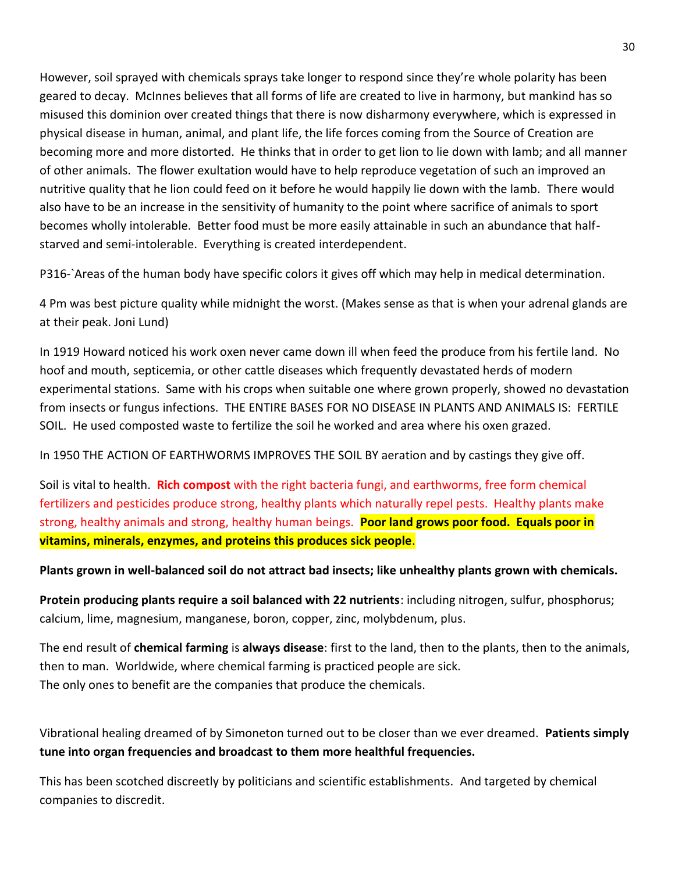However, soil sprayed with chemicals sprays take longer to respond since they're whole polarity has been geared to decay. McInnes believes that all forms of life are created to live in harmony, but mankind has so misused this dominion over created things that there is now disharmony everywhere, which is expressed in physical disease in human, animal, and plant life, the life forces coming from the Source of Creation are becoming more and more distorted. He thinks that in order to get lion to lie down with lamb; and all manner of other animals. The flower exultation would have to help reproduce vegetation of such an improved an nutritive quality that he lion could feed on it before he would happily lie down with the lamb. There would also have to be an increase in the sensitivity of humanity to the point where sacrifice of animals to sport becomes wholly intolerable. Better food must be more easily attainable in such an abundance that halfstarved and semi-intolerable. Everything is created interdependent.

P316-`Areas of the human body have specific colors it gives off which may help in medical determination.

4 Pm was best picture quality while midnight the worst. (Makes sense as that is when your adrenal glands are at their peak. Joni Lund)

In 1919 Howard noticed his work oxen never came down ill when feed the produce from his fertile land. No hoof and mouth, septicemia, or other cattle diseases which frequently devastated herds of modern experimental stations. Same with his crops when suitable one where grown properly, showed no devastation from insects or fungus infections. THE ENTIRE BASES FOR NO DISEASE IN PLANTS AND ANIMALS IS: FERTILE SOIL. He used composted waste to fertilize the soil he worked and area where his oxen grazed.

In 1950 THE ACTION OF EARTHWORMS IMPROVES THE SOIL BY aeration and by castings they give off.

Soil is vital to health. **Rich compost** with the right bacteria fungi, and earthworms, free form chemical fertilizers and pesticides produce strong, healthy plants which naturally repel pests. Healthy plants make strong, healthy animals and strong, healthy human beings. **Poor land grows poor food. Equals poor in vitamins, minerals, enzymes, and proteins this produces sick people**.

# **Plants grown in well-balanced soil do not attract bad insects; like unhealthy plants grown with chemicals.**

**Protein producing plants require a soil balanced with 22 nutrients**: including nitrogen, sulfur, phosphorus; calcium, lime, magnesium, manganese, boron, copper, zinc, molybdenum, plus.

The end result of **chemical farming** is **always disease**: first to the land, then to the plants, then to the animals, then to man. Worldwide, where chemical farming is practiced people are sick. The only ones to benefit are the companies that produce the chemicals.

Vibrational healing dreamed of by Simoneton turned out to be closer than we ever dreamed. **Patients simply tune into organ frequencies and broadcast to them more healthful frequencies.** 

This has been scotched discreetly by politicians and scientific establishments. And targeted by chemical companies to discredit.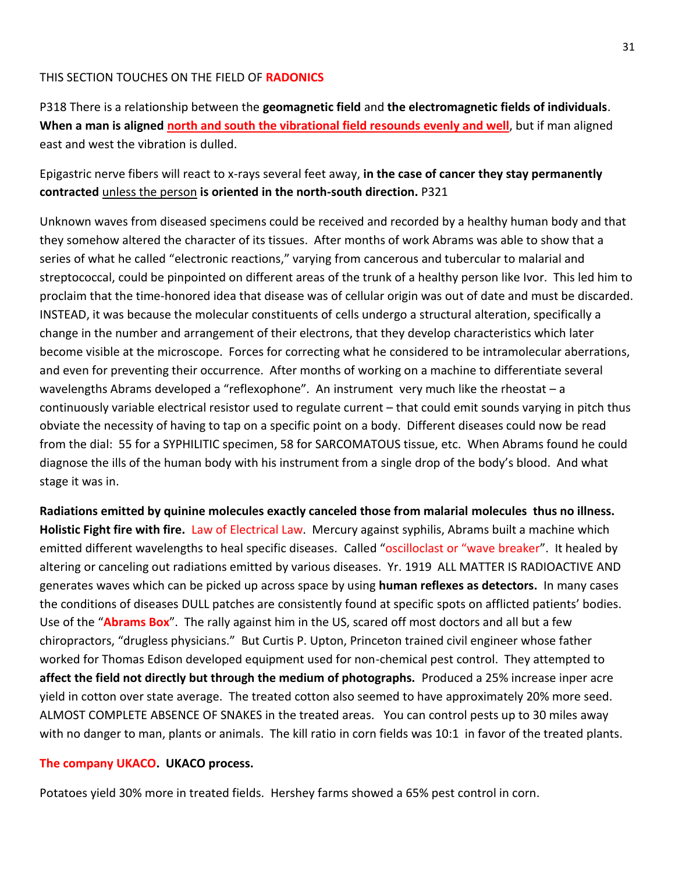#### THIS SECTION TOUCHES ON THE FIELD OF **RADONICS**

P318 There is a relationship between the **geomagnetic field** and **the electromagnetic fields of individuals**. **When a man is aligned north and south the vibrational field resounds evenly and well**, but if man aligned east and west the vibration is dulled.

# Epigastric nerve fibers will react to x-rays several feet away, **in the case of cancer they stay permanently contracted** unless the person **is oriented in the north-south direction.** P321

Unknown waves from diseased specimens could be received and recorded by a healthy human body and that they somehow altered the character of its tissues. After months of work Abrams was able to show that a series of what he called "electronic reactions," varying from cancerous and tubercular to malarial and streptococcal, could be pinpointed on different areas of the trunk of a healthy person like Ivor. This led him to proclaim that the time-honored idea that disease was of cellular origin was out of date and must be discarded. INSTEAD, it was because the molecular constituents of cells undergo a structural alteration, specifically a change in the number and arrangement of their electrons, that they develop characteristics which later become visible at the microscope. Forces for correcting what he considered to be intramolecular aberrations, and even for preventing their occurrence. After months of working on a machine to differentiate several wavelengths Abrams developed a "reflexophone". An instrument very much like the rheostat – a continuously variable electrical resistor used to regulate current – that could emit sounds varying in pitch thus obviate the necessity of having to tap on a specific point on a body. Different diseases could now be read from the dial: 55 for a SYPHILITIC specimen, 58 for SARCOMATOUS tissue, etc. When Abrams found he could diagnose the ills of the human body with his instrument from a single drop of the body's blood. And what stage it was in.

**Radiations emitted by quinine molecules exactly canceled those from malarial molecules thus no illness. Holistic Fight fire with fire.** Law of Electrical Law. Mercury against syphilis, Abrams built a machine which emitted different wavelengths to heal specific diseases. Called "oscilloclast or "wave breaker". It healed by altering or canceling out radiations emitted by various diseases. Yr. 1919 ALL MATTER IS RADIOACTIVE AND generates waves which can be picked up across space by using **human reflexes as detectors.** In many cases the conditions of diseases DULL patches are consistently found at specific spots on afflicted patients' bodies. Use of the "**Abrams Box**". The rally against him in the US, scared off most doctors and all but a few chiropractors, "drugless physicians." But Curtis P. Upton, Princeton trained civil engineer whose father worked for Thomas Edison developed equipment used for non-chemical pest control. They attempted to **affect the field not directly but through the medium of photographs.** Produced a 25% increase inper acre yield in cotton over state average. The treated cotton also seemed to have approximately 20% more seed. ALMOST COMPLETE ABSENCE OF SNAKES in the treated areas. You can control pests up to 30 miles away with no danger to man, plants or animals. The kill ratio in corn fields was 10:1 in favor of the treated plants.

#### **The company UKACO. UKACO process.**

Potatoes yield 30% more in treated fields. Hershey farms showed a 65% pest control in corn.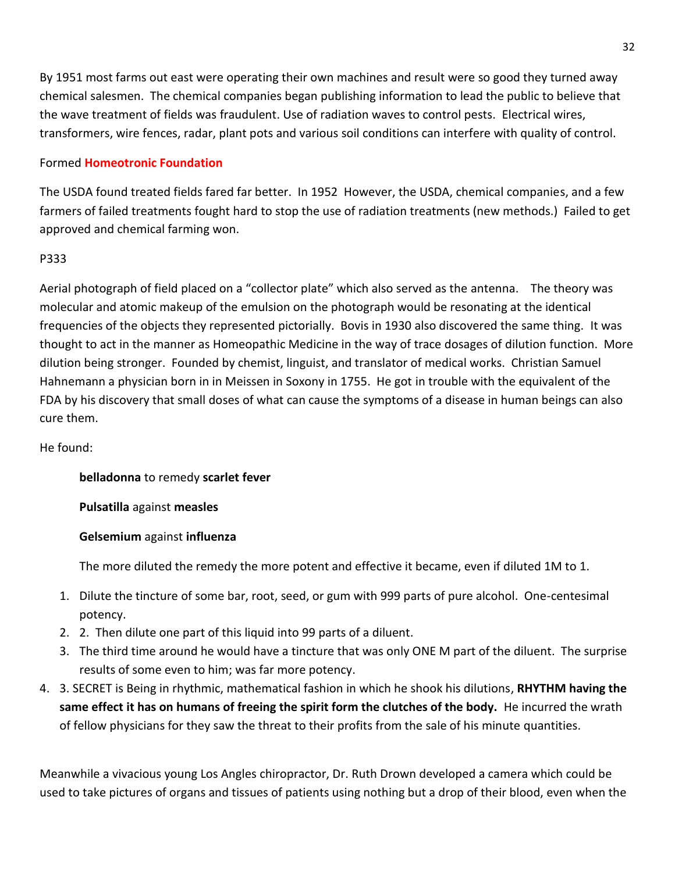By 1951 most farms out east were operating their own machines and result were so good they turned away chemical salesmen. The chemical companies began publishing information to lead the public to believe that the wave treatment of fields was fraudulent. Use of radiation waves to control pests. Electrical wires, transformers, wire fences, radar, plant pots and various soil conditions can interfere with quality of control.

## Formed **Homeotronic Foundation**

The USDA found treated fields fared far better. In 1952 However, the USDA, chemical companies, and a few farmers of failed treatments fought hard to stop the use of radiation treatments (new methods.) Failed to get approved and chemical farming won.

## P333

Aerial photograph of field placed on a "collector plate" which also served as the antenna. The theory was molecular and atomic makeup of the emulsion on the photograph would be resonating at the identical frequencies of the objects they represented pictorially. Bovis in 1930 also discovered the same thing. It was thought to act in the manner as Homeopathic Medicine in the way of trace dosages of dilution function. More dilution being stronger. Founded by chemist, linguist, and translator of medical works. Christian Samuel Hahnemann a physician born in in Meissen in Soxony in 1755. He got in trouble with the equivalent of the FDA by his discovery that small doses of what can cause the symptoms of a disease in human beings can also cure them.

## He found:

**belladonna** to remedy **scarlet fever**

**Pulsatilla** against **measles**

# **Gelsemium** against **influenza**

The more diluted the remedy the more potent and effective it became, even if diluted 1M to 1.

- 1. Dilute the tincture of some bar, root, seed, or gum with 999 parts of pure alcohol. One-centesimal potency.
- 2. 2. Then dilute one part of this liquid into 99 parts of a diluent.
- 3. The third time around he would have a tincture that was only ONE M part of the diluent. The surprise results of some even to him; was far more potency.
- 4. 3. SECRET is Being in rhythmic, mathematical fashion in which he shook his dilutions, **RHYTHM having the same effect it has on humans of freeing the spirit form the clutches of the body.** He incurred the wrath of fellow physicians for they saw the threat to their profits from the sale of his minute quantities.

Meanwhile a vivacious young Los Angles chiropractor, Dr. Ruth Drown developed a camera which could be used to take pictures of organs and tissues of patients using nothing but a drop of their blood, even when the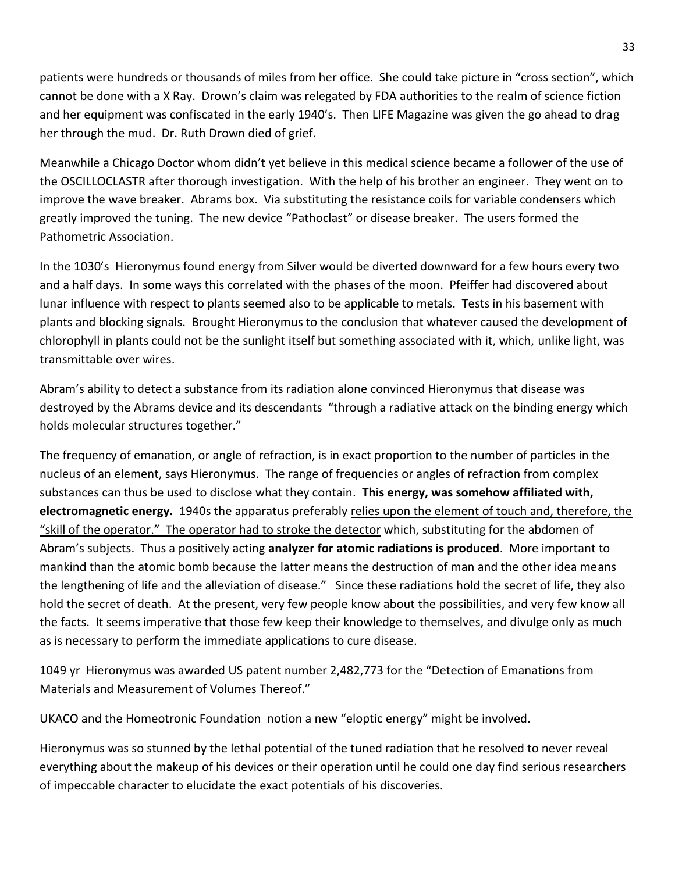patients were hundreds or thousands of miles from her office. She could take picture in "cross section", which cannot be done with a X Ray. Drown's claim was relegated by FDA authorities to the realm of science fiction and her equipment was confiscated in the early 1940's. Then LIFE Magazine was given the go ahead to drag her through the mud. Dr. Ruth Drown died of grief.

Meanwhile a Chicago Doctor whom didn't yet believe in this medical science became a follower of the use of the OSCILLOCLASTR after thorough investigation. With the help of his brother an engineer. They went on to improve the wave breaker. Abrams box. Via substituting the resistance coils for variable condensers which greatly improved the tuning. The new device "Pathoclast" or disease breaker. The users formed the Pathometric Association.

In the 1030's Hieronymus found energy from Silver would be diverted downward for a few hours every two and a half days. In some ways this correlated with the phases of the moon. Pfeiffer had discovered about lunar influence with respect to plants seemed also to be applicable to metals. Tests in his basement with plants and blocking signals. Brought Hieronymus to the conclusion that whatever caused the development of chlorophyll in plants could not be the sunlight itself but something associated with it, which, unlike light, was transmittable over wires.

Abram's ability to detect a substance from its radiation alone convinced Hieronymus that disease was destroyed by the Abrams device and its descendants "through a radiative attack on the binding energy which holds molecular structures together."

The frequency of emanation, or angle of refraction, is in exact proportion to the number of particles in the nucleus of an element, says Hieronymus. The range of frequencies or angles of refraction from complex substances can thus be used to disclose what they contain. **This energy, was somehow affiliated with, electromagnetic energy.** 1940s the apparatus preferably relies upon the element of touch and, therefore, the "skill of the operator." The operator had to stroke the detector which, substituting for the abdomen of Abram's subjects. Thus a positively acting **analyzer for atomic radiations is produced**. More important to mankind than the atomic bomb because the latter means the destruction of man and the other idea means the lengthening of life and the alleviation of disease." Since these radiations hold the secret of life, they also hold the secret of death. At the present, very few people know about the possibilities, and very few know all the facts. It seems imperative that those few keep their knowledge to themselves, and divulge only as much as is necessary to perform the immediate applications to cure disease.

1049 yr Hieronymus was awarded US patent number 2,482,773 for the "Detection of Emanations from Materials and Measurement of Volumes Thereof."

UKACO and the Homeotronic Foundation notion a new "eloptic energy" might be involved.

Hieronymus was so stunned by the lethal potential of the tuned radiation that he resolved to never reveal everything about the makeup of his devices or their operation until he could one day find serious researchers of impeccable character to elucidate the exact potentials of his discoveries.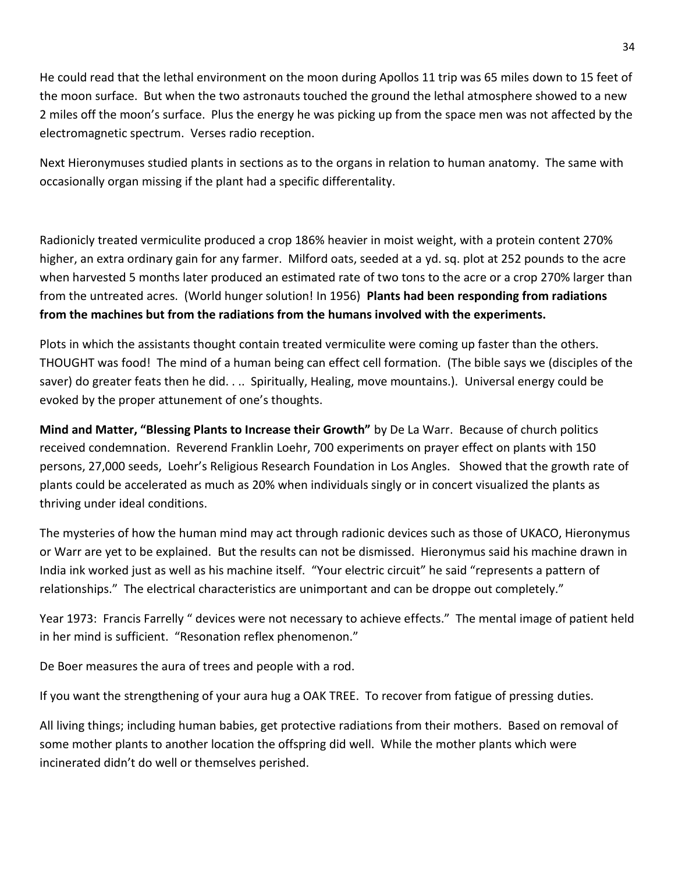He could read that the lethal environment on the moon during Apollos 11 trip was 65 miles down to 15 feet of the moon surface. But when the two astronauts touched the ground the lethal atmosphere showed to a new 2 miles off the moon's surface. Plus the energy he was picking up from the space men was not affected by the electromagnetic spectrum. Verses radio reception.

Next Hieronymuses studied plants in sections as to the organs in relation to human anatomy. The same with occasionally organ missing if the plant had a specific differentality.

Radionicly treated vermiculite produced a crop 186% heavier in moist weight, with a protein content 270% higher, an extra ordinary gain for any farmer. Milford oats, seeded at a yd. sq. plot at 252 pounds to the acre when harvested 5 months later produced an estimated rate of two tons to the acre or a crop 270% larger than from the untreated acres. (World hunger solution! In 1956) **Plants had been responding from radiations from the machines but from the radiations from the humans involved with the experiments.**

Plots in which the assistants thought contain treated vermiculite were coming up faster than the others. THOUGHT was food! The mind of a human being can effect cell formation. (The bible says we (disciples of the saver) do greater feats then he did. . .. Spiritually, Healing, move mountains.). Universal energy could be evoked by the proper attunement of one's thoughts.

**Mind and Matter, "Blessing Plants to Increase their Growth"** by De La Warr. Because of church politics received condemnation. Reverend Franklin Loehr, 700 experiments on prayer effect on plants with 150 persons, 27,000 seeds, Loehr's Religious Research Foundation in Los Angles. Showed that the growth rate of plants could be accelerated as much as 20% when individuals singly or in concert visualized the plants as thriving under ideal conditions.

The mysteries of how the human mind may act through radionic devices such as those of UKACO, Hieronymus or Warr are yet to be explained. But the results can not be dismissed. Hieronymus said his machine drawn in India ink worked just as well as his machine itself. "Your electric circuit" he said "represents a pattern of relationships." The electrical characteristics are unimportant and can be droppe out completely."

Year 1973: Francis Farrelly " devices were not necessary to achieve effects." The mental image of patient held in her mind is sufficient. "Resonation reflex phenomenon."

De Boer measures the aura of trees and people with a rod.

If you want the strengthening of your aura hug a OAK TREE. To recover from fatigue of pressing duties.

All living things; including human babies, get protective radiations from their mothers. Based on removal of some mother plants to another location the offspring did well. While the mother plants which were incinerated didn't do well or themselves perished.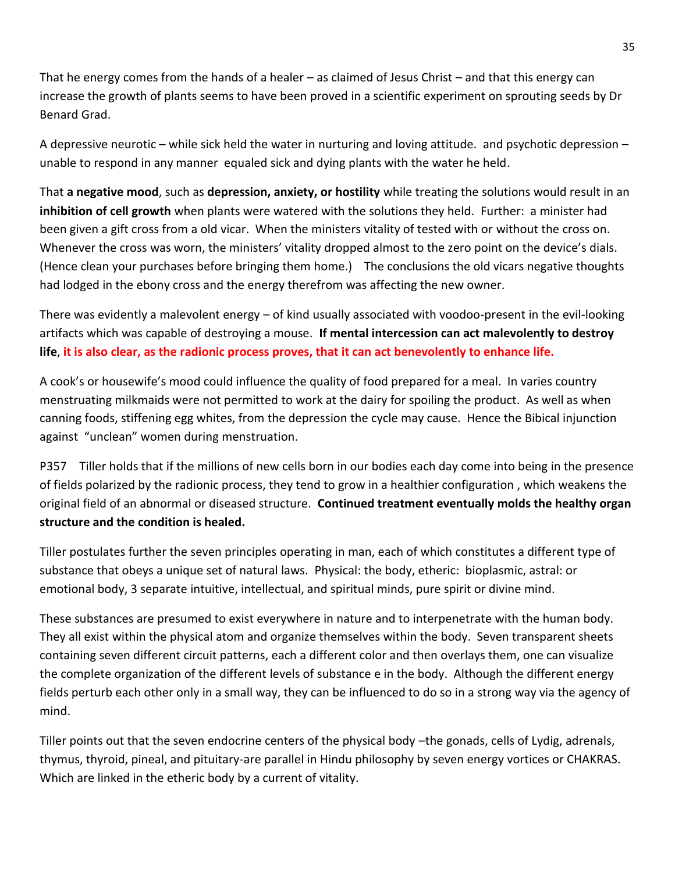That he energy comes from the hands of a healer – as claimed of Jesus Christ – and that this energy can increase the growth of plants seems to have been proved in a scientific experiment on sprouting seeds by Dr Benard Grad.

A depressive neurotic – while sick held the water in nurturing and loving attitude. and psychotic depression – unable to respond in any manner equaled sick and dying plants with the water he held.

That **a negative mood**, such as **depression, anxiety, or hostility** while treating the solutions would result in an **inhibition of cell growth** when plants were watered with the solutions they held. Further: a minister had been given a gift cross from a old vicar. When the ministers vitality of tested with or without the cross on. Whenever the cross was worn, the ministers' vitality dropped almost to the zero point on the device's dials. (Hence clean your purchases before bringing them home.) The conclusions the old vicars negative thoughts had lodged in the ebony cross and the energy therefrom was affecting the new owner.

There was evidently a malevolent energy – of kind usually associated with voodoo-present in the evil-looking artifacts which was capable of destroying a mouse. **If mental intercession can act malevolently to destroy life**, **it is also clear, as the radionic process proves, that it can act benevolently to enhance life.**

A cook's or housewife's mood could influence the quality of food prepared for a meal. In varies country menstruating milkmaids were not permitted to work at the dairy for spoiling the product. As well as when canning foods, stiffening egg whites, from the depression the cycle may cause. Hence the Bibical injunction against "unclean" women during menstruation.

P357 Tiller holds that if the millions of new cells born in our bodies each day come into being in the presence of fields polarized by the radionic process, they tend to grow in a healthier configuration , which weakens the original field of an abnormal or diseased structure. **Continued treatment eventually molds the healthy organ structure and the condition is healed.** 

Tiller postulates further the seven principles operating in man, each of which constitutes a different type of substance that obeys a unique set of natural laws. Physical: the body, etheric: bioplasmic, astral: or emotional body, 3 separate intuitive, intellectual, and spiritual minds, pure spirit or divine mind.

These substances are presumed to exist everywhere in nature and to interpenetrate with the human body. They all exist within the physical atom and organize themselves within the body. Seven transparent sheets containing seven different circuit patterns, each a different color and then overlays them, one can visualize the complete organization of the different levels of substance e in the body. Although the different energy fields perturb each other only in a small way, they can be influenced to do so in a strong way via the agency of mind.

Tiller points out that the seven endocrine centers of the physical body –the gonads, cells of Lydig, adrenals, thymus, thyroid, pineal, and pituitary-are parallel in Hindu philosophy by seven energy vortices or CHAKRAS. Which are linked in the etheric body by a current of vitality.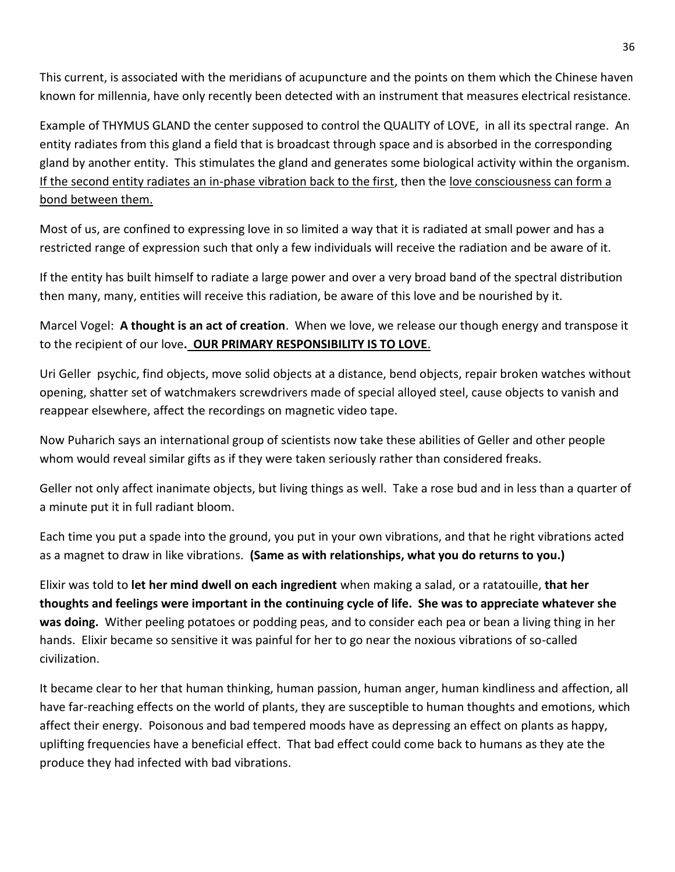This current, is associated with the meridians of acupuncture and the points on them which the Chinese haven known for millennia, have only recently been detected with an instrument that measures electrical resistance.

Example of THYMUS GLAND the center supposed to control the QUALITY of LOVE, in all its spectral range. An entity radiates from this gland a field that is broadcast through space and is absorbed in the corresponding gland by another entity. This stimulates the gland and generates some biological activity within the organism. If the second entity radiates an in-phase vibration back to the first, then the love consciousness can form a bond between them.

Most of us, are confined to expressing love in so limited a way that it is radiated at small power and has a restricted range of expression such that only a few individuals will receive the radiation and be aware of it.

If the entity has built himself to radiate a large power and over a very broad band of the spectral distribution then many, many, entities will receive this radiation, be aware of this love and be nourished by it.

Marcel Vogel: **A thought is an act of creation**. When we love, we release our though energy and transpose it to the recipient of our love**. OUR PRIMARY RESPONSIBILITY IS TO LOVE**.

Uri Geller psychic, find objects, move solid objects at a distance, bend objects, repair broken watches without opening, shatter set of watchmakers screwdrivers made of special alloyed steel, cause objects to vanish and reappear elsewhere, affect the recordings on magnetic video tape.

Now Puharich says an international group of scientists now take these abilities of Geller and other people whom would reveal similar gifts as if they were taken seriously rather than considered freaks.

Geller not only affect inanimate objects, but living things as well. Take a rose bud and in less than a quarter of a minute put it in full radiant bloom.

Each time you put a spade into the ground, you put in your own vibrations, and that he right vibrations acted as a magnet to draw in like vibrations. **(Same as with relationships, what you do returns to you.)**

Elixir was told to **let her mind dwell on each ingredient** when making a salad, or a ratatouille, **that her thoughts and feelings were important in the continuing cycle of life. She was to appreciate whatever she was doing.** Wither peeling potatoes or podding peas, and to consider each pea or bean a living thing in her hands. Elixir became so sensitive it was painful for her to go near the noxious vibrations of so-called civilization.

It became clear to her that human thinking, human passion, human anger, human kindliness and affection, all have far-reaching effects on the world of plants, they are susceptible to human thoughts and emotions, which affect their energy. Poisonous and bad tempered moods have as depressing an effect on plants as happy, uplifting frequencies have a beneficial effect. That bad effect could come back to humans as they ate the produce they had infected with bad vibrations.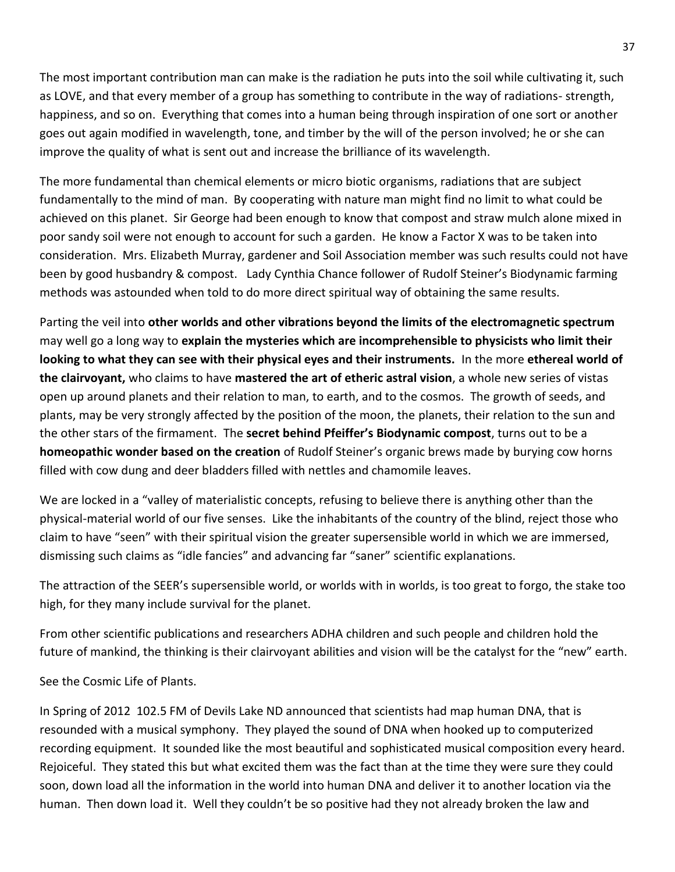The most important contribution man can make is the radiation he puts into the soil while cultivating it, such as LOVE, and that every member of a group has something to contribute in the way of radiations- strength, happiness, and so on. Everything that comes into a human being through inspiration of one sort or another goes out again modified in wavelength, tone, and timber by the will of the person involved; he or she can improve the quality of what is sent out and increase the brilliance of its wavelength.

The more fundamental than chemical elements or micro biotic organisms, radiations that are subject fundamentally to the mind of man. By cooperating with nature man might find no limit to what could be achieved on this planet. Sir George had been enough to know that compost and straw mulch alone mixed in poor sandy soil were not enough to account for such a garden. He know a Factor X was to be taken into consideration. Mrs. Elizabeth Murray, gardener and Soil Association member was such results could not have been by good husbandry & compost. Lady Cynthia Chance follower of Rudolf Steiner's Biodynamic farming methods was astounded when told to do more direct spiritual way of obtaining the same results.

Parting the veil into **other worlds and other vibrations beyond the limits of the electromagnetic spectrum** may well go a long way to **explain the mysteries which are incomprehensible to physicists who limit their looking to what they can see with their physical eyes and their instruments.** In the more **ethereal world of the clairvoyant,** who claims to have **mastered the art of etheric astral vision**, a whole new series of vistas open up around planets and their relation to man, to earth, and to the cosmos. The growth of seeds, and plants, may be very strongly affected by the position of the moon, the planets, their relation to the sun and the other stars of the firmament. The **secret behind Pfeiffer's Biodynamic compost**, turns out to be a **homeopathic wonder based on the creation** of Rudolf Steiner's organic brews made by burying cow horns filled with cow dung and deer bladders filled with nettles and chamomile leaves.

We are locked in a "valley of materialistic concepts, refusing to believe there is anything other than the physical-material world of our five senses. Like the inhabitants of the country of the blind, reject those who claim to have "seen" with their spiritual vision the greater supersensible world in which we are immersed, dismissing such claims as "idle fancies" and advancing far "saner" scientific explanations.

The attraction of the SEER's supersensible world, or worlds with in worlds, is too great to forgo, the stake too high, for they many include survival for the planet.

From other scientific publications and researchers ADHA children and such people and children hold the future of mankind, the thinking is their clairvoyant abilities and vision will be the catalyst for the "new" earth.

See the Cosmic Life of Plants.

In Spring of 2012 102.5 FM of Devils Lake ND announced that scientists had map human DNA, that is resounded with a musical symphony. They played the sound of DNA when hooked up to computerized recording equipment. It sounded like the most beautiful and sophisticated musical composition every heard. Rejoiceful. They stated this but what excited them was the fact than at the time they were sure they could soon, down load all the information in the world into human DNA and deliver it to another location via the human. Then down load it. Well they couldn't be so positive had they not already broken the law and